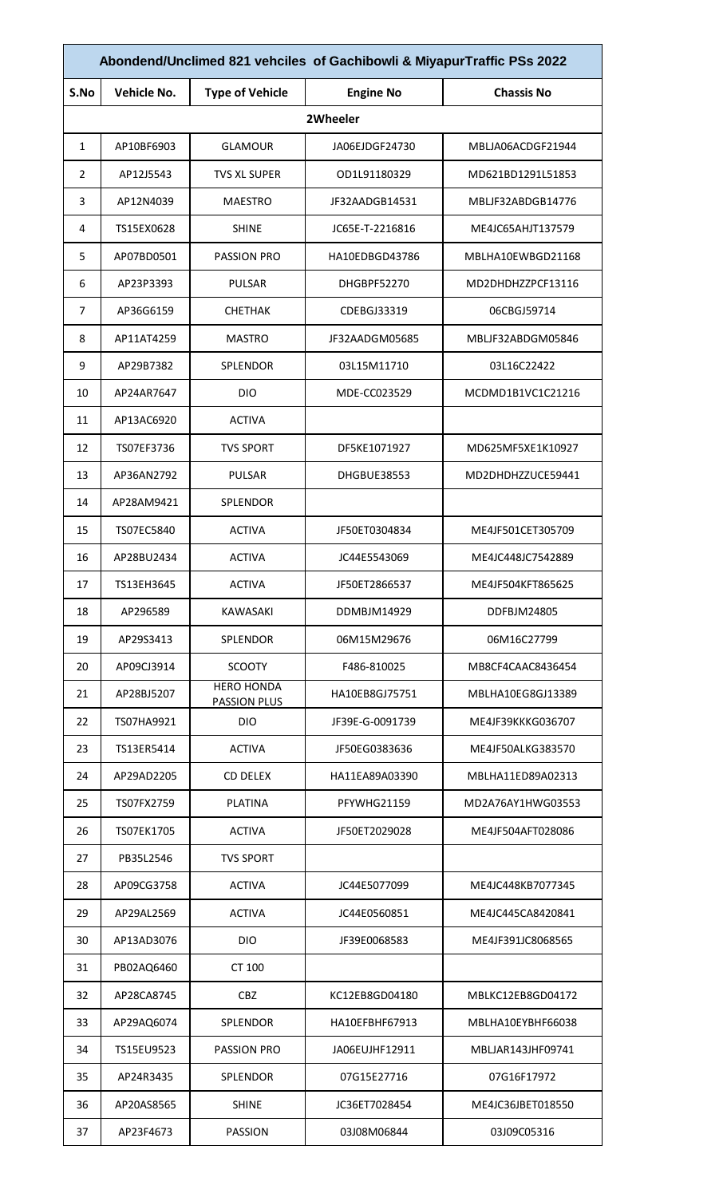| Abondend/Unclimed 821 vehciles of Gachibowli & MiyapurTraffic PSs 2022 |             |                                          |                  |                   |
|------------------------------------------------------------------------|-------------|------------------------------------------|------------------|-------------------|
| S.No                                                                   | Vehicle No. | <b>Type of Vehicle</b>                   | <b>Engine No</b> | <b>Chassis No</b> |
|                                                                        |             |                                          | 2Wheeler         |                   |
| 1                                                                      | AP10BF6903  | GLAMOUR                                  | JA06EJDGF24730   | MBLJA06ACDGF21944 |
| 2                                                                      | AP12J5543   | <b>TVS XL SUPER</b>                      | OD1L91180329     | MD621BD1291L51853 |
| 3                                                                      | AP12N4039   | MAESTRO                                  | JF32AADGB14531   | MBLJF32ABDGB14776 |
| 4                                                                      | TS15EX0628  | <b>SHINE</b>                             | JC65E-T-2216816  | ME4JC65AHJT137579 |
| 5                                                                      | AP07BD0501  | <b>PASSION PRO</b>                       | HA10EDBGD43786   | MBLHA10EWBGD21168 |
| 6                                                                      | AP23P3393   | <b>PULSAR</b>                            | DHGBPF52270      | MD2DHDHZZPCF13116 |
| 7                                                                      | AP36G6159   | <b>CHETHAK</b>                           | CDEBGJ33319      | 06CBGJ59714       |
| 8                                                                      | AP11AT4259  | <b>MASTRO</b>                            | JF32AADGM05685   | MBLJF32ABDGM05846 |
| 9                                                                      | AP29B7382   | <b>SPLENDOR</b>                          | 03L15M11710      | 03L16C22422       |
| 10                                                                     | AP24AR7647  | <b>DIO</b>                               | MDE-CC023529     | MCDMD1B1VC1C21216 |
| 11                                                                     | AP13AC6920  | <b>ACTIVA</b>                            |                  |                   |
| 12                                                                     | TS07EF3736  | <b>TVS SPORT</b>                         | DF5KE1071927     | MD625MF5XE1K10927 |
| 13                                                                     | AP36AN2792  | <b>PULSAR</b>                            | DHGBUE38553      | MD2DHDHZZUCE59441 |
| 14                                                                     | AP28AM9421  | <b>SPLENDOR</b>                          |                  |                   |
| 15                                                                     | TS07EC5840  | <b>ACTIVA</b>                            | JF50ET0304834    | ME4JF501CET305709 |
| 16                                                                     | AP28BU2434  | <b>ACTIVA</b>                            | JC44E5543069     | ME4JC448JC7542889 |
| 17                                                                     | TS13EH3645  | <b>ACTIVA</b>                            | JF50ET2866537    | ME4JF504KFT865625 |
| 18                                                                     | AP296589    | KAWASAKI                                 | DDMBJM14929      | DDFBJM24805       |
| 19                                                                     | AP29S3413   | SPLENDOR                                 | 06M15M29676      | 06M16C27799       |
| 20                                                                     | AP09CJ3914  | <b>SCOOTY</b>                            | F486-810025      | MB8CF4CAAC8436454 |
| 21                                                                     | AP28BJ5207  | <b>HERO HONDA</b><br><b>PASSION PLUS</b> | HA10EB8GJ75751   | MBLHA10EG8GJ13389 |
| 22                                                                     | TS07HA9921  | <b>DIO</b>                               | JF39E-G-0091739  | ME4JF39KKKG036707 |
| 23                                                                     | TS13ER5414  | <b>ACTIVA</b>                            | JF50EG0383636    | ME4JF50ALKG383570 |
| 24                                                                     | AP29AD2205  | <b>CD DELEX</b>                          | HA11EA89A03390   | MBLHA11ED89A02313 |
| 25                                                                     | TS07FX2759  | <b>PLATINA</b>                           | PFYWHG21159      | MD2A76AY1HWG03553 |
| 26                                                                     | TS07EK1705  | <b>ACTIVA</b>                            | JF50ET2029028    | ME4JF504AFT028086 |
| 27                                                                     | PB35L2546   | <b>TVS SPORT</b>                         |                  |                   |
| 28                                                                     | AP09CG3758  | <b>ACTIVA</b>                            | JC44E5077099     | ME4JC448KB7077345 |
| 29                                                                     | AP29AL2569  | <b>ACTIVA</b>                            | JC44E0560851     | ME4JC445CA8420841 |
| 30                                                                     | AP13AD3076  | <b>DIO</b>                               | JF39E0068583     | ME4JF391JC8068565 |
| 31                                                                     | PB02AQ6460  | CT 100                                   |                  |                   |
| 32                                                                     | AP28CA8745  | <b>CBZ</b>                               | KC12EB8GD04180   | MBLKC12EB8GD04172 |
| 33                                                                     | AP29AQ6074  | <b>SPLENDOR</b>                          | HA10EFBHF67913   | MBLHA10EYBHF66038 |
| 34                                                                     | TS15EU9523  | <b>PASSION PRO</b>                       | JA06EUJHF12911   | MBLJAR143JHF09741 |
| 35                                                                     | AP24R3435   | <b>SPLENDOR</b>                          | 07G15E27716      | 07G16F17972       |
| 36                                                                     | AP20AS8565  | <b>SHINE</b>                             | JC36ET7028454    | ME4JC36JBET018550 |
| 37                                                                     | AP23F4673   | <b>PASSION</b>                           | 03J08M06844      | 03J09C05316       |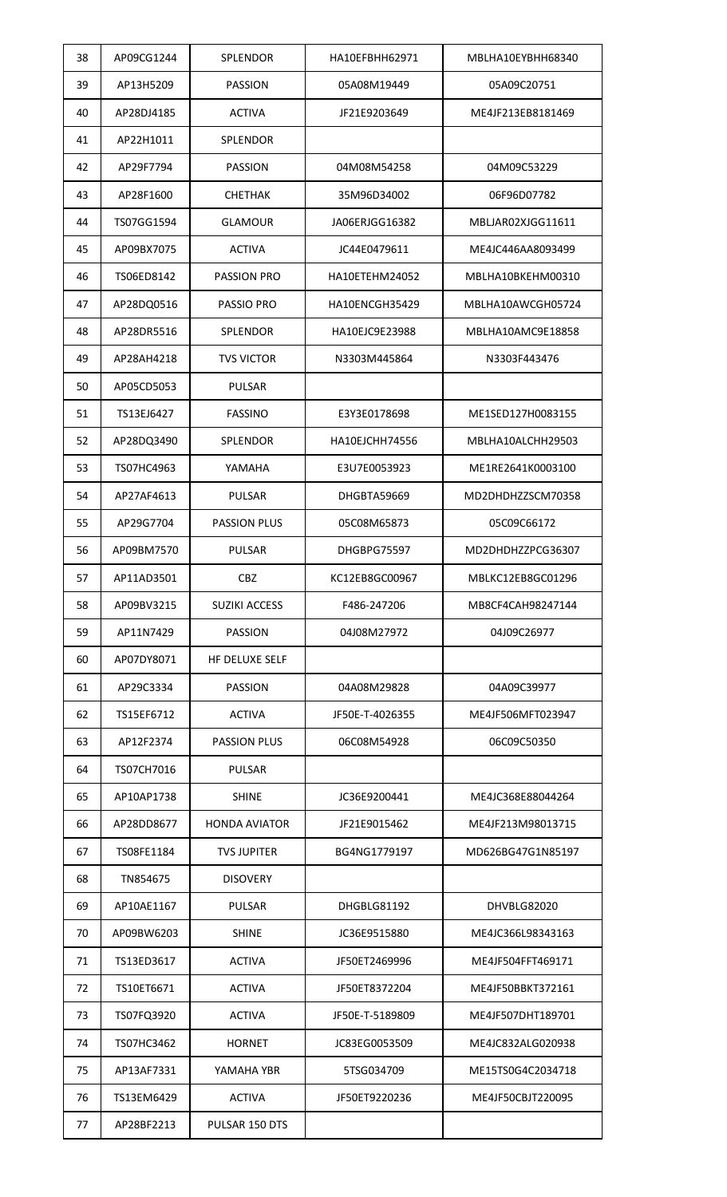| 38 | AP09CG1244 | <b>SPLENDOR</b>      | HA10EFBHH62971  | MBLHA10EYBHH68340 |
|----|------------|----------------------|-----------------|-------------------|
| 39 | AP13H5209  | <b>PASSION</b>       | 05A08M19449     | 05A09C20751       |
| 40 | AP28DJ4185 | <b>ACTIVA</b>        | JF21E9203649    | ME4JF213EB8181469 |
| 41 | AP22H1011  | <b>SPLENDOR</b>      |                 |                   |
| 42 | AP29F7794  | <b>PASSION</b>       | 04M08M54258     | 04M09C53229       |
| 43 | AP28F1600  | <b>CHETHAK</b>       | 35M96D34002     | 06F96D07782       |
| 44 | TS07GG1594 | <b>GLAMOUR</b>       | JA06ERJGG16382  | MBLJAR02XJGG11611 |
| 45 | AP09BX7075 | <b>ACTIVA</b>        | JC44E0479611    | ME4JC446AA8093499 |
| 46 | TS06ED8142 | <b>PASSION PRO</b>   | HA10ETEHM24052  | MBLHA10BKEHM00310 |
| 47 | AP28DQ0516 | <b>PASSIO PRO</b>    | HA10ENCGH35429  | MBLHA10AWCGH05724 |
| 48 | AP28DR5516 | SPLENDOR             | HA10EJC9E23988  | MBLHA10AMC9E18858 |
| 49 | AP28AH4218 | <b>TVS VICTOR</b>    | N3303M445864    | N3303F443476      |
| 50 | AP05CD5053 | <b>PULSAR</b>        |                 |                   |
| 51 | TS13EJ6427 | <b>FASSINO</b>       | E3Y3E0178698    | ME1SED127H0083155 |
| 52 | AP28DQ3490 | <b>SPLENDOR</b>      | HA10EJCHH74556  | MBLHA10ALCHH29503 |
| 53 | TS07HC4963 | YAMAHA               | E3U7E0053923    | ME1RE2641K0003100 |
| 54 | AP27AF4613 | <b>PULSAR</b>        | DHGBTA59669     | MD2DHDHZZSCM70358 |
| 55 | AP29G7704  | <b>PASSION PLUS</b>  | 05C08M65873     | 05C09C66172       |
| 56 | AP09BM7570 | <b>PULSAR</b>        | DHGBPG75597     | MD2DHDHZZPCG36307 |
| 57 | AP11AD3501 | <b>CBZ</b>           | KC12EB8GC00967  | MBLKC12EB8GC01296 |
| 58 | AP09BV3215 | <b>SUZIKI ACCESS</b> | F486-247206     | MB8CF4CAH98247144 |
| 59 | AP11N7429  | <b>PASSION</b>       | 04J08M27972     | 04J09C26977       |
| 60 | AP07DY8071 | HF DELUXE SELF       |                 |                   |
| 61 | AP29C3334  | <b>PASSION</b>       | 04A08M29828     | 04A09C39977       |
| 62 | TS15EF6712 | <b>ACTIVA</b>        | JF50E-T-4026355 | ME4JF506MFT023947 |
| 63 | AP12F2374  | <b>PASSION PLUS</b>  | 06C08M54928     | 06C09C50350       |
| 64 | TS07CH7016 | <b>PULSAR</b>        |                 |                   |
| 65 | AP10AP1738 | <b>SHINE</b>         | JC36E9200441    | ME4JC368E88044264 |
| 66 | AP28DD8677 | <b>HONDA AVIATOR</b> | JF21E9015462    | ME4JF213M98013715 |
| 67 | TS08FE1184 | <b>TVS JUPITER</b>   | BG4NG1779197    | MD626BG47G1N85197 |
| 68 | TN854675   | <b>DISOVERY</b>      |                 |                   |
| 69 | AP10AE1167 | <b>PULSAR</b>        | DHGBLG81192     | DHVBLG82020       |
| 70 | AP09BW6203 | <b>SHINE</b>         | JC36E9515880    | ME4JC366L98343163 |
| 71 | TS13ED3617 | <b>ACTIVA</b>        | JF50ET2469996   | ME4JF504FFT469171 |
| 72 | TS10ET6671 | <b>ACTIVA</b>        | JF50ET8372204   | ME4JF50BBKT372161 |
| 73 | TS07FQ3920 | <b>ACTIVA</b>        | JF50E-T-5189809 | ME4JF507DHT189701 |
| 74 | TS07HC3462 | HORNET               | JC83EG0053509   | ME4JC832ALG020938 |
| 75 | AP13AF7331 | YAMAHA YBR           | 5TSG034709      | ME15TS0G4C2034718 |
| 76 | TS13EM6429 | <b>ACTIVA</b>        | JF50ET9220236   | ME4JF50CBJT220095 |
| 77 | AP28BF2213 | PULSAR 150 DTS       |                 |                   |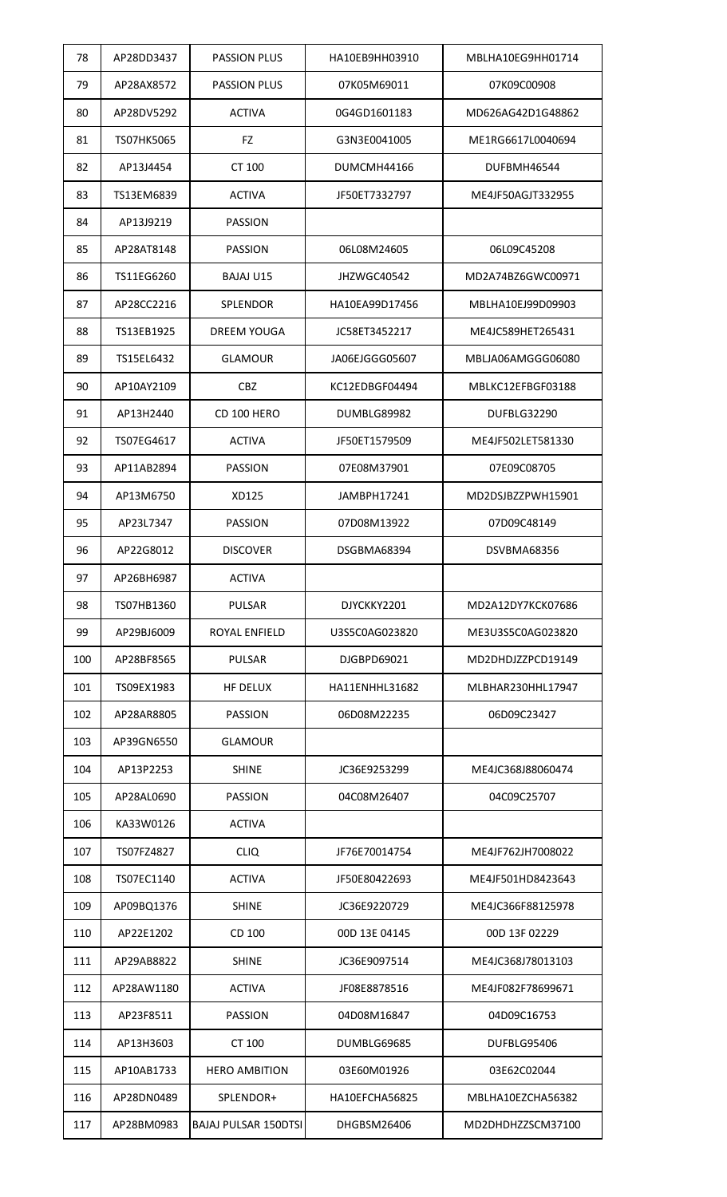| 78  | AP28DD3437 | <b>PASSION PLUS</b>  | HA10EB9HH03910 | MBLHA10EG9HH01714 |
|-----|------------|----------------------|----------------|-------------------|
| 79  | AP28AX8572 | <b>PASSION PLUS</b>  | 07K05M69011    | 07K09C00908       |
| 80  | AP28DV5292 | <b>ACTIVA</b>        | 0G4GD1601183   | MD626AG42D1G48862 |
| 81  | TS07HK5065 | FZ                   | G3N3E0041005   | ME1RG6617L0040694 |
| 82  | AP13J4454  | CT 100               | DUMCMH44166    | DUFBMH46544       |
| 83  | TS13EM6839 | <b>ACTIVA</b>        | JF50ET7332797  | ME4JF50AGJT332955 |
| 84  | AP13J9219  | <b>PASSION</b>       |                |                   |
| 85  | AP28AT8148 | <b>PASSION</b>       | 06L08M24605    | 06L09C45208       |
| 86  | TS11EG6260 | <b>BAJAJ U15</b>     | JHZWGC40542    | MD2A74BZ6GWC00971 |
| 87  | AP28CC2216 | SPLENDOR             | HA10EA99D17456 | MBLHA10EJ99D09903 |
| 88  | TS13EB1925 | DREEM YOUGA          | JC58ET3452217  | ME4JC589HET265431 |
| 89  | TS15EL6432 | <b>GLAMOUR</b>       | JA06EJGGG05607 | MBLJA06AMGGG06080 |
| 90  | AP10AY2109 | <b>CBZ</b>           | KC12EDBGF04494 | MBLKC12EFBGF03188 |
| 91  | AP13H2440  | CD 100 HERO          | DUMBLG89982    | DUFBLG32290       |
| 92  | TS07EG4617 | <b>ACTIVA</b>        | JF50ET1579509  | ME4JF502LET581330 |
| 93  | AP11AB2894 | <b>PASSION</b>       | 07E08M37901    | 07E09C08705       |
| 94  | AP13M6750  | XD125                | JAMBPH17241    | MD2DSJBZZPWH15901 |
| 95  | AP23L7347  | <b>PASSION</b>       | 07D08M13922    | 07D09C48149       |
| 96  | AP22G8012  | <b>DISCOVER</b>      | DSGBMA68394    | DSVBMA68356       |
| 97  | AP26BH6987 | ACTIVA               |                |                   |
| 98  | TS07HB1360 | <b>PULSAR</b>        | DJYCKKY2201    | MD2A12DY7KCK07686 |
| 99  | AP29BJ6009 | ROYAL ENFIELD        | U3S5C0AG023820 | ME3U3S5C0AG023820 |
| 100 | AP28BF8565 | <b>PULSAR</b>        | DJGBPD69021    | MD2DHDJZZPCD19149 |
| 101 | TS09EX1983 | <b>HF DELUX</b>      | HA11ENHHL31682 | MLBHAR230HHL17947 |
| 102 | AP28AR8805 | <b>PASSION</b>       | 06D08M22235    | 06D09C23427       |
| 103 | AP39GN6550 | <b>GLAMOUR</b>       |                |                   |
| 104 | AP13P2253  | <b>SHINE</b>         | JC36E9253299   | ME4JC368J88060474 |
| 105 | AP28AL0690 | <b>PASSION</b>       | 04C08M26407    | 04C09C25707       |
| 106 | KA33W0126  | <b>ACTIVA</b>        |                |                   |
| 107 | TS07FZ4827 | <b>CLIQ</b>          | JF76E70014754  | ME4JF762JH7008022 |
| 108 | TS07EC1140 | <b>ACTIVA</b>        | JF50E80422693  | ME4JF501HD8423643 |
| 109 | AP09BQ1376 | <b>SHINE</b>         | JC36E9220729   | ME4JC366F88125978 |
| 110 | AP22E1202  | CD 100               | 00D 13E 04145  | 00D 13F 02229     |
| 111 | AP29AB8822 | <b>SHINE</b>         | JC36E9097514   | ME4JC368J78013103 |
| 112 | AP28AW1180 | <b>ACTIVA</b>        | JF08E8878516   | ME4JF082F78699671 |
| 113 | AP23F8511  | <b>PASSION</b>       | 04D08M16847    | 04D09C16753       |
| 114 | AP13H3603  | CT 100               | DUMBLG69685    | DUFBLG95406       |
| 115 | AP10AB1733 | <b>HERO AMBITION</b> | 03E60M01926    | 03E62C02044       |
| 116 | AP28DN0489 | SPLENDOR+            | HA10EFCHA56825 | MBLHA10EZCHA56382 |
| 117 | AP28BM0983 | BAJAJ PULSAR 150DTSI | DHGBSM26406    | MD2DHDHZZSCM37100 |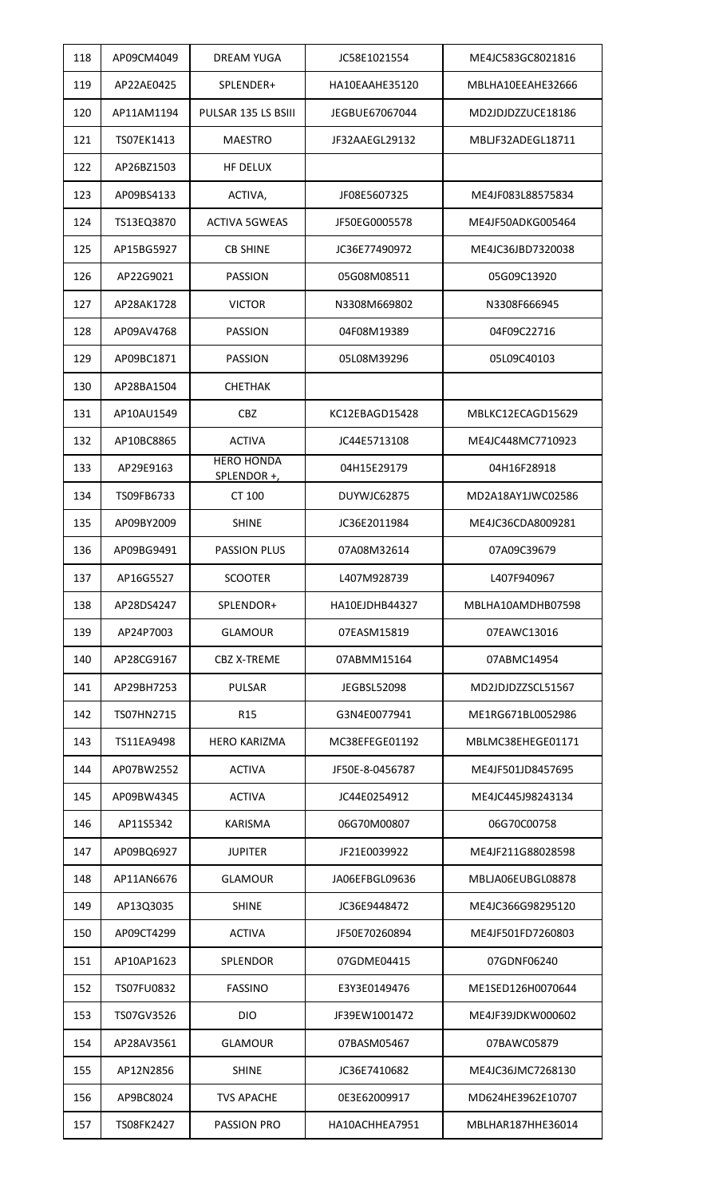| 118 | AP09CM4049 | <b>DREAM YUGA</b>                | JC58E1021554       | ME4JC583GC8021816 |
|-----|------------|----------------------------------|--------------------|-------------------|
| 119 | AP22AE0425 | SPLENDER+                        | HA10EAAHE35120     | MBLHA10EEAHE32666 |
| 120 | AP11AM1194 | PULSAR 135 LS BSIII              | JEGBUE67067044     | MD2JDJDZZUCE18186 |
| 121 | TS07EK1413 | <b>MAESTRO</b>                   | JF32AAEGL29132     | MBLJF32ADEGL18711 |
| 122 | AP26BZ1503 | HF DELUX                         |                    |                   |
| 123 | AP09BS4133 | ACTIVA,                          | JF08E5607325       | ME4JF083L88575834 |
| 124 | TS13EQ3870 | <b>ACTIVA 5GWEAS</b>             | JF50EG0005578      | ME4JF50ADKG005464 |
| 125 | AP15BG5927 | <b>CB SHINE</b>                  | JC36E77490972      | ME4JC36JBD7320038 |
| 126 | AP22G9021  | <b>PASSION</b>                   | 05G08M08511        | 05G09C13920       |
| 127 | AP28AK1728 | <b>VICTOR</b>                    | N3308M669802       | N3308F666945      |
| 128 | AP09AV4768 | <b>PASSION</b>                   | 04F08M19389        | 04F09C22716       |
| 129 | AP09BC1871 | <b>PASSION</b>                   | 05L08M39296        | 05L09C40103       |
| 130 | AP28BA1504 | <b>CHETHAK</b>                   |                    |                   |
| 131 | AP10AU1549 | <b>CBZ</b>                       | KC12EBAGD15428     | MBLKC12ECAGD15629 |
| 132 | AP10BC8865 | <b>ACTIVA</b>                    | JC44E5713108       | ME4JC448MC7710923 |
| 133 | AP29E9163  | <b>HERO HONDA</b><br>SPLENDOR +, | 04H15E29179        | 04H16F28918       |
| 134 | TS09FB6733 | CT 100                           | DUYWJC62875        | MD2A18AY1JWC02586 |
| 135 | AP09BY2009 | <b>SHINE</b>                     | JC36E2011984       | ME4JC36CDA8009281 |
| 136 | AP09BG9491 | <b>PASSION PLUS</b>              | 07A08M32614        | 07A09C39679       |
| 137 | AP16G5527  | <b>SCOOTER</b>                   | L407M928739        | L407F940967       |
| 138 | AP28DS4247 | SPLENDOR+                        | HA10EJDHB44327     | MBLHA10AMDHB07598 |
| 139 | AP24P7003  | <b>GLAMOUR</b>                   | 07EASM15819        | 07EAWC13016       |
| 140 | AP28CG9167 | <b>CBZ X-TREME</b>               | 07ABMM15164        | 07ABMC14954       |
| 141 | AP29BH7253 | <b>PULSAR</b>                    | <b>JEGBSL52098</b> | MD2JDJDZZSCL51567 |
| 142 | TS07HN2715 | R <sub>15</sub>                  | G3N4E0077941       | ME1RG671BL0052986 |
| 143 | TS11EA9498 | <b>HERO KARIZMA</b>              | MC38EFEGE01192     | MBLMC38EHEGE01171 |
| 144 | AP07BW2552 | <b>ACTIVA</b>                    | JF50E-8-0456787    | ME4JF501JD8457695 |
| 145 | AP09BW4345 | <b>ACTIVA</b>                    | JC44E0254912       | ME4JC445J98243134 |
| 146 | AP11S5342  | <b>KARISMA</b>                   | 06G70M00807        | 06G70C00758       |
| 147 | AP09BQ6927 | <b>JUPITER</b>                   | JF21E0039922       | ME4JF211G88028598 |
| 148 | AP11AN6676 | <b>GLAMOUR</b>                   | JA06EFBGL09636     | MBLJA06EUBGL08878 |
| 149 | AP13Q3035  | <b>SHINE</b>                     | JC36E9448472       | ME4JC366G98295120 |
| 150 | AP09CT4299 | <b>ACTIVA</b>                    | JF50E70260894      | ME4JF501FD7260803 |
| 151 | AP10AP1623 | <b>SPLENDOR</b>                  | 07GDME04415        | 07GDNF06240       |
| 152 | TS07FU0832 | <b>FASSINO</b>                   | E3Y3E0149476       | ME1SED126H0070644 |
| 153 | TS07GV3526 | <b>DIO</b>                       | JF39EW1001472      | ME4JF39JDKW000602 |
| 154 | AP28AV3561 | <b>GLAMOUR</b>                   | 07BASM05467        | 07BAWC05879       |
| 155 | AP12N2856  | <b>SHINE</b>                     | JC36E7410682       | ME4JC36JMC7268130 |
| 156 | AP9BC8024  | <b>TVS APACHE</b>                | 0E3E62009917       | MD624HE3962E10707 |
| 157 | TS08FK2427 | PASSION PRO                      | HA10ACHHEA7951     | MBLHAR187HHE36014 |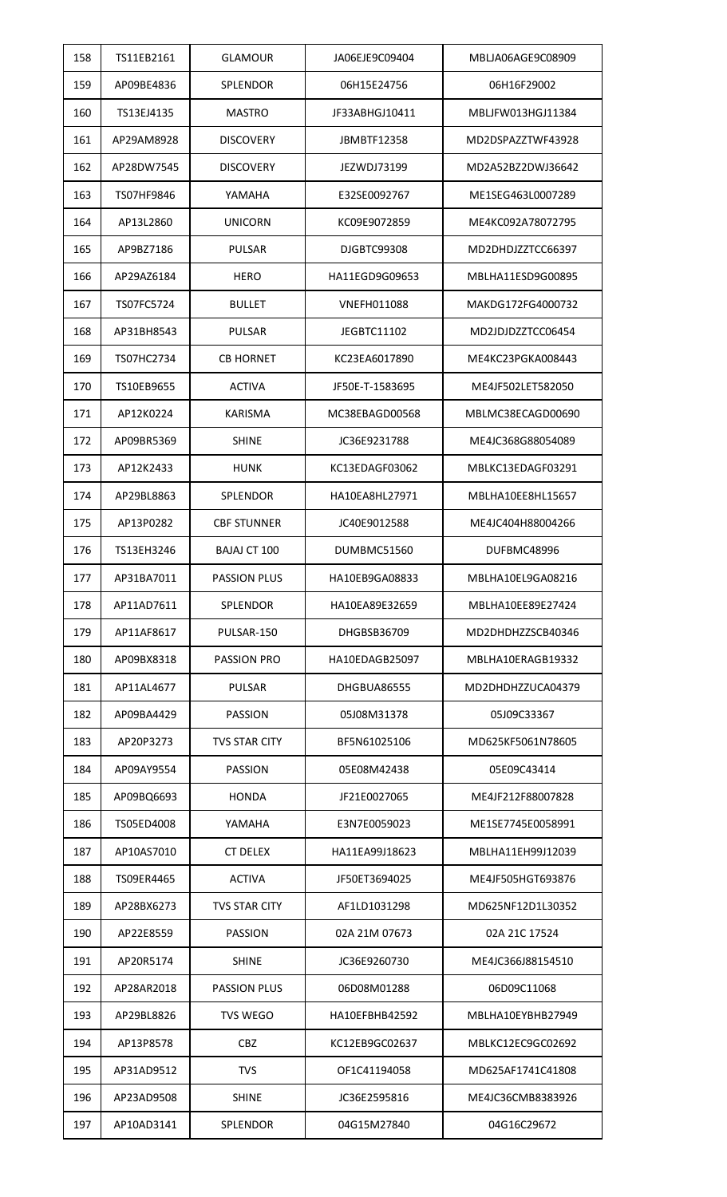| 158 | TS11EB2161 | <b>GLAMOUR</b>       | JA06EJE9C09404     | MBLJA06AGE9C08909 |
|-----|------------|----------------------|--------------------|-------------------|
| 159 | AP09BE4836 | <b>SPLENDOR</b>      | 06H15E24756        | 06H16F29002       |
| 160 | TS13EJ4135 | <b>MASTRO</b>        | JF33ABHGJ10411     | MBLJFW013HGJ11384 |
| 161 | AP29AM8928 | <b>DISCOVERY</b>     | <b>JBMBTF12358</b> | MD2DSPAZZTWF43928 |
| 162 | AP28DW7545 | <b>DISCOVERY</b>     | JEZWDJ73199        | MD2A52BZ2DWJ36642 |
| 163 | TS07HF9846 | YAMAHA               | E32SE0092767       | ME1SEG463L0007289 |
| 164 | AP13L2860  | <b>UNICORN</b>       | KC09E9072859       | ME4KC092A78072795 |
| 165 | AP9BZ7186  | <b>PULSAR</b>        | DJGBTC99308        | MD2DHDJZZTCC66397 |
| 166 | AP29AZ6184 | <b>HERO</b>          | HA11EGD9G09653     | MBLHA11ESD9G00895 |
| 167 | TS07FC5724 | <b>BULLET</b>        | <b>VNEFH011088</b> | MAKDG172FG4000732 |
| 168 | AP31BH8543 | <b>PULSAR</b>        | JEGBTC11102        | MD2JDJDZZTCC06454 |
| 169 | TS07HC2734 | <b>CB HORNET</b>     | KC23EA6017890      | ME4KC23PGKA008443 |
| 170 | TS10EB9655 | <b>ACTIVA</b>        | JF50E-T-1583695    | ME4JF502LET582050 |
| 171 | AP12K0224  | <b>KARISMA</b>       | MC38EBAGD00568     | MBLMC38ECAGD00690 |
| 172 | AP09BR5369 | <b>SHINE</b>         | JC36E9231788       | ME4JC368G88054089 |
| 173 | AP12K2433  | <b>HUNK</b>          | KC13EDAGF03062     | MBLKC13EDAGF03291 |
| 174 | AP29BL8863 | SPLENDOR             | HA10EA8HL27971     | MBLHA10EE8HL15657 |
| 175 | AP13P0282  | <b>CBF STUNNER</b>   | JC40E9012588       | ME4JC404H88004266 |
| 176 | TS13EH3246 | <b>BAJAJ CT 100</b>  | DUMBMC51560        | DUFBMC48996       |
| 177 | AP31BA7011 | PASSION PLUS         | HA10EB9GA08833     | MBLHA10EL9GA08216 |
| 178 | AP11AD7611 | <b>SPLENDOR</b>      | HA10EA89E32659     | MBLHA10EE89E27424 |
| 179 | AP11AF8617 | PULSAR-150           | DHGBSB36709        | MD2DHDHZZSCB40346 |
| 180 | AP09BX8318 | PASSION PRO          | HA10EDAGB25097     | MBLHA10ERAGB19332 |
| 181 | AP11AL4677 | <b>PULSAR</b>        | DHGBUA86555        | MD2DHDHZZUCA04379 |
| 182 | AP09BA4429 | <b>PASSION</b>       | 05J08M31378        | 05J09C33367       |
| 183 | AP20P3273  | <b>TVS STAR CITY</b> | BF5N61025106       | MD625KF5061N78605 |
| 184 | AP09AY9554 | <b>PASSION</b>       | 05E08M42438        | 05E09C43414       |
| 185 | AP09BQ6693 | <b>HONDA</b>         | JF21E0027065       | ME4JF212F88007828 |
| 186 | TS05ED4008 | YAMAHA               | E3N7E0059023       | ME1SE7745E0058991 |
| 187 | AP10AS7010 | <b>CT DELEX</b>      | HA11EA99J18623     | MBLHA11EH99J12039 |
| 188 | TS09ER4465 | <b>ACTIVA</b>        | JF50ET3694025      | ME4JF505HGT693876 |
| 189 | AP28BX6273 | <b>TVS STAR CITY</b> | AF1LD1031298       | MD625NF12D1L30352 |
| 190 | AP22E8559  | <b>PASSION</b>       | 02A 21M 07673      | 02A 21C 17524     |
| 191 | AP20R5174  | <b>SHINE</b>         | JC36E9260730       | ME4JC366J88154510 |
| 192 | AP28AR2018 | <b>PASSION PLUS</b>  | 06D08M01288        | 06D09C11068       |
| 193 | AP29BL8826 | <b>TVS WEGO</b>      | HA10EFBHB42592     | MBLHA10EYBHB27949 |
| 194 | AP13P8578  | <b>CBZ</b>           | KC12EB9GC02637     | MBLKC12EC9GC02692 |
| 195 | AP31AD9512 | <b>TVS</b>           | OF1C41194058       | MD625AF1741C41808 |
| 196 | AP23AD9508 | <b>SHINE</b>         | JC36E2595816       | ME4JC36CMB8383926 |
| 197 | AP10AD3141 | SPLENDOR             | 04G15M27840        | 04G16C29672       |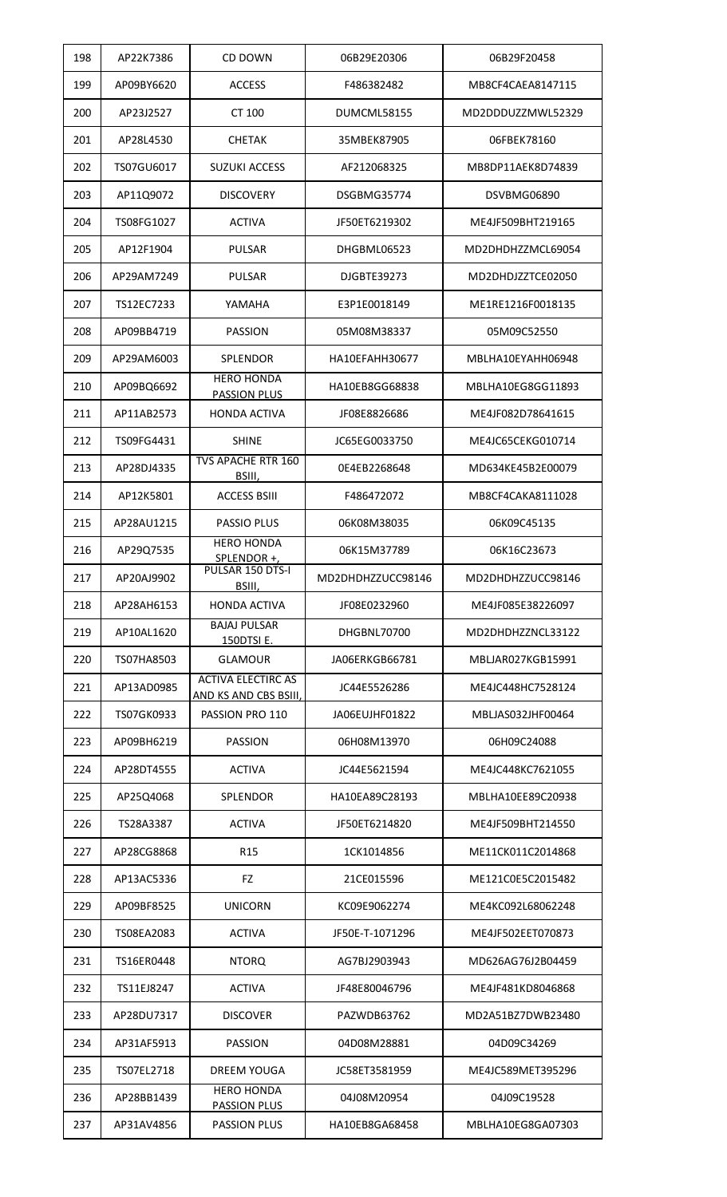| 198 | AP22K7386  | CD DOWN                                            | 06B29E20306       | 06B29F20458       |
|-----|------------|----------------------------------------------------|-------------------|-------------------|
| 199 | AP09BY6620 | <b>ACCESS</b>                                      | F486382482        | MB8CF4CAEA8147115 |
| 200 | AP23J2527  | CT 100                                             | DUMCML58155       | MD2DDDUZZMWL52329 |
| 201 | AP28L4530  | <b>CHETAK</b>                                      | 35MBEK87905       | 06FBEK78160       |
| 202 | TS07GU6017 | <b>SUZUKI ACCESS</b>                               | AF212068325       | MB8DP11AEK8D74839 |
| 203 | AP11Q9072  | <b>DISCOVERY</b>                                   | DSGBMG35774       | DSVBMG06890       |
| 204 | TS08FG1027 | <b>ACTIVA</b>                                      | JF50ET6219302     | ME4JF509BHT219165 |
| 205 | AP12F1904  | <b>PULSAR</b>                                      | DHGBML06523       | MD2DHDHZZMCL69054 |
| 206 | AP29AM7249 | <b>PULSAR</b>                                      | DJGBTE39273       | MD2DHDJZZTCE02050 |
| 207 | TS12EC7233 | YAMAHA                                             | E3P1E0018149      | ME1RE1216F0018135 |
| 208 | AP09BB4719 | <b>PASSION</b>                                     | 05M08M38337       | 05M09C52550       |
| 209 | AP29AM6003 | <b>SPLENDOR</b>                                    | HA10EFAHH30677    | MBLHA10EYAHH06948 |
| 210 | AP09BQ6692 | <b>HERO HONDA</b><br><b>PASSION PLUS</b>           | HA10EB8GG68838    | MBLHA10EG8GG11893 |
| 211 | AP11AB2573 | <b>HONDA ACTIVA</b>                                | JF08E8826686      | ME4JF082D78641615 |
| 212 | TS09FG4431 | <b>SHINE</b>                                       | JC65EG0033750     | ME4JC65CEKG010714 |
| 213 | AP28DJ4335 | <b>TVS APACHE RTR 160</b><br>BSIII,                | 0E4EB2268648      | MD634KE45B2E00079 |
| 214 | AP12K5801  | <b>ACCESS BSIII</b>                                | F486472072        | MB8CF4CAKA8111028 |
| 215 | AP28AU1215 | <b>PASSIO PLUS</b>                                 | 06K08M38035       | 06K09C45135       |
| 216 | AP29Q7535  | <b>HERO HONDA</b><br>SPLENDOR +                    | 06K15M37789       | 06K16C23673       |
| 217 | AP20AJ9902 | PULSAR 150 DTS-I<br>BSIII,                         | MD2DHDHZZUCC98146 | MD2DHDHZZUCC98146 |
| 218 | AP28AH6153 | <b>HONDA ACTIVA</b>                                | JF08E0232960      | ME4JF085E38226097 |
| 219 | AP10AL1620 | <b>BAJAJ PULSAR</b><br>150DTSI E.                  | DHGBNL70700       | MD2DHDHZZNCL33122 |
| 220 | TS07HA8503 | <b>GLAMOUR</b>                                     | JA06ERKGB66781    | MBLJAR027KGB15991 |
| 221 | AP13AD0985 | <b>ACTIVA ELECTIRC AS</b><br>AND KS AND CBS BSIII, | JC44E5526286      | ME4JC448HC7528124 |
| 222 | TS07GK0933 | PASSION PRO 110                                    | JA06EUJHF01822    | MBLJAS032JHF00464 |
| 223 | AP09BH6219 | <b>PASSION</b>                                     | 06H08M13970       | 06H09C24088       |
| 224 | AP28DT4555 | <b>ACTIVA</b>                                      | JC44E5621594      | ME4JC448KC7621055 |
| 225 | AP25Q4068  | SPLENDOR                                           | HA10EA89C28193    | MBLHA10EE89C20938 |
| 226 | TS28A3387  | <b>ACTIVA</b>                                      | JF50ET6214820     | ME4JF509BHT214550 |
| 227 | AP28CG8868 | R <sub>15</sub>                                    | 1CK1014856        | ME11CK011C2014868 |
| 228 | AP13AC5336 | <b>FZ</b>                                          | 21CE015596        | ME121C0E5C2015482 |
| 229 | AP09BF8525 | <b>UNICORN</b>                                     | KC09E9062274      | ME4KC092L68062248 |
| 230 | TS08EA2083 | <b>ACTIVA</b>                                      | JF50E-T-1071296   | ME4JF502EET070873 |
| 231 | TS16ER0448 | <b>NTORQ</b>                                       | AG7BJ2903943      | MD626AG76J2B04459 |
| 232 | TS11EJ8247 | <b>ACTIVA</b>                                      | JF48E80046796     | ME4JF481KD8046868 |
| 233 | AP28DU7317 | <b>DISCOVER</b>                                    | PAZWDB63762       | MD2A51BZ7DWB23480 |
| 234 | AP31AF5913 | <b>PASSION</b>                                     | 04D08M28881       | 04D09C34269       |
| 235 | TS07EL2718 | <b>DREEM YOUGA</b>                                 | JC58ET3581959     | ME4JC589MET395296 |
| 236 | AP28BB1439 | <b>HERO HONDA</b><br><b>PASSION PLUS</b>           | 04J08M20954       | 04J09C19528       |
| 237 | AP31AV4856 | <b>PASSION PLUS</b>                                | HA10EB8GA68458    | MBLHA10EG8GA07303 |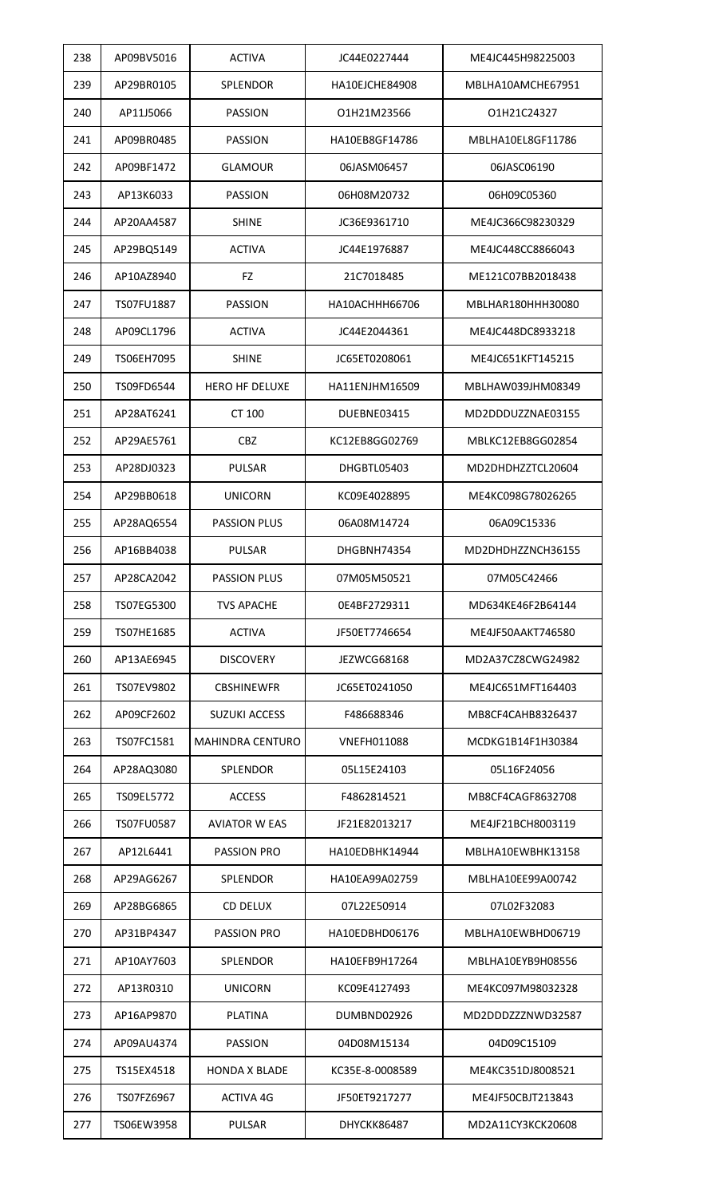| 238 | AP09BV5016        | <b>ACTIVA</b>           | JC44E0227444    | ME4JC445H98225003 |
|-----|-------------------|-------------------------|-----------------|-------------------|
| 239 | AP29BR0105        | SPLENDOR                | HA10EJCHE84908  | MBLHA10AMCHE67951 |
| 240 | AP11J5066         | <b>PASSION</b>          | O1H21M23566     | O1H21C24327       |
| 241 | AP09BR0485        | <b>PASSION</b>          | HA10EB8GF14786  | MBLHA10EL8GF11786 |
| 242 | AP09BF1472        | <b>GLAMOUR</b>          | 06JASM06457     | 06JASC06190       |
| 243 | AP13K6033         | <b>PASSION</b>          | 06H08M20732     | 06H09C05360       |
| 244 | AP20AA4587        | <b>SHINE</b>            | JC36E9361710    | ME4JC366C98230329 |
| 245 | AP29BQ5149        | <b>ACTIVA</b>           | JC44E1976887    | ME4JC448CC8866043 |
| 246 | AP10AZ8940        | <b>FZ</b>               | 21C7018485      | ME121C07BB2018438 |
| 247 | TS07FU1887        | <b>PASSION</b>          | HA10ACHHH66706  | MBLHAR180HHH30080 |
| 248 | AP09CL1796        | <b>ACTIVA</b>           | JC44E2044361    | ME4JC448DC8933218 |
| 249 | TS06EH7095        | <b>SHINE</b>            | JC65ET0208061   | ME4JC651KFT145215 |
| 250 | TS09FD6544        | <b>HERO HF DELUXE</b>   | HA11ENJHM16509  | MBLHAW039JHM08349 |
| 251 | AP28AT6241        | CT 100                  | DUEBNE03415     | MD2DDDUZZNAE03155 |
| 252 | AP29AE5761        | <b>CBZ</b>              | KC12EB8GG02769  | MBLKC12EB8GG02854 |
| 253 | AP28DJ0323        | <b>PULSAR</b>           | DHGBTL05403     | MD2DHDHZZTCL20604 |
| 254 | AP29BB0618        | <b>UNICORN</b>          | KC09E4028895    | ME4KC098G78026265 |
| 255 | AP28AQ6554        | <b>PASSION PLUS</b>     | 06A08M14724     | 06A09C15336       |
| 256 | AP16BB4038        | <b>PULSAR</b>           | DHGBNH74354     | MD2DHDHZZNCH36155 |
| 257 | AP28CA2042        | <b>PASSION PLUS</b>     | 07M05M50521     | 07M05C42466       |
| 258 | TS07EG5300        | <b>TVS APACHE</b>       | 0E4BF2729311    | MD634KE46F2B64144 |
| 259 | TS07HE1685        | <b>ACTIVA</b>           | JF50ET7746654   | ME4JF50AAKT746580 |
| 260 | AP13AE6945        | <b>DISCOVERY</b>        | JEZWCG68168     | MD2A37CZ8CWG24982 |
| 261 | TS07EV9802        | CBSHINEWFR              | JC65ET0241050   | ME4JC651MFT164403 |
| 262 | AP09CF2602        | <b>SUZUKI ACCESS</b>    | F486688346      | MB8CF4CAHB8326437 |
| 263 | TS07FC1581        | <b>MAHINDRA CENTURO</b> | VNEFH011088     | MCDKG1B14F1H30384 |
| 264 | AP28AQ3080        | <b>SPLENDOR</b>         | 05L15E24103     | 05L16F24056       |
| 265 | TS09EL5772        | <b>ACCESS</b>           | F4862814521     | MB8CF4CAGF8632708 |
| 266 | <b>TS07FU0587</b> | <b>AVIATOR W EAS</b>    | JF21E82013217   | ME4JF21BCH8003119 |
| 267 | AP12L6441         | PASSION PRO             | HA10EDBHK14944  | MBLHA10EWBHK13158 |
| 268 | AP29AG6267        | <b>SPLENDOR</b>         | HA10EA99A02759  | MBLHA10EE99A00742 |
| 269 | AP28BG6865        | <b>CD DELUX</b>         | 07L22E50914     | 07L02F32083       |
| 270 | AP31BP4347        | <b>PASSION PRO</b>      | HA10EDBHD06176  | MBLHA10EWBHD06719 |
| 271 | AP10AY7603        | <b>SPLENDOR</b>         | HA10EFB9H17264  | MBLHA10EYB9H08556 |
| 272 | AP13R0310         | <b>UNICORN</b>          | KC09E4127493    | ME4KC097M98032328 |
| 273 | AP16AP9870        | <b>PLATINA</b>          | DUMBND02926     | MD2DDDZZZNWD32587 |
| 274 | AP09AU4374        | <b>PASSION</b>          | 04D08M15134     | 04D09C15109       |
| 275 | TS15EX4518        | <b>HONDA X BLADE</b>    | KC35E-8-0008589 | ME4KC351DJ8008521 |
| 276 | TS07FZ6967        | <b>ACTIVA 4G</b>        | JF50ET9217277   | ME4JF50CBJT213843 |
| 277 | TS06EW3958        | <b>PULSAR</b>           | DHYCKK86487     | MD2A11CY3KCK20608 |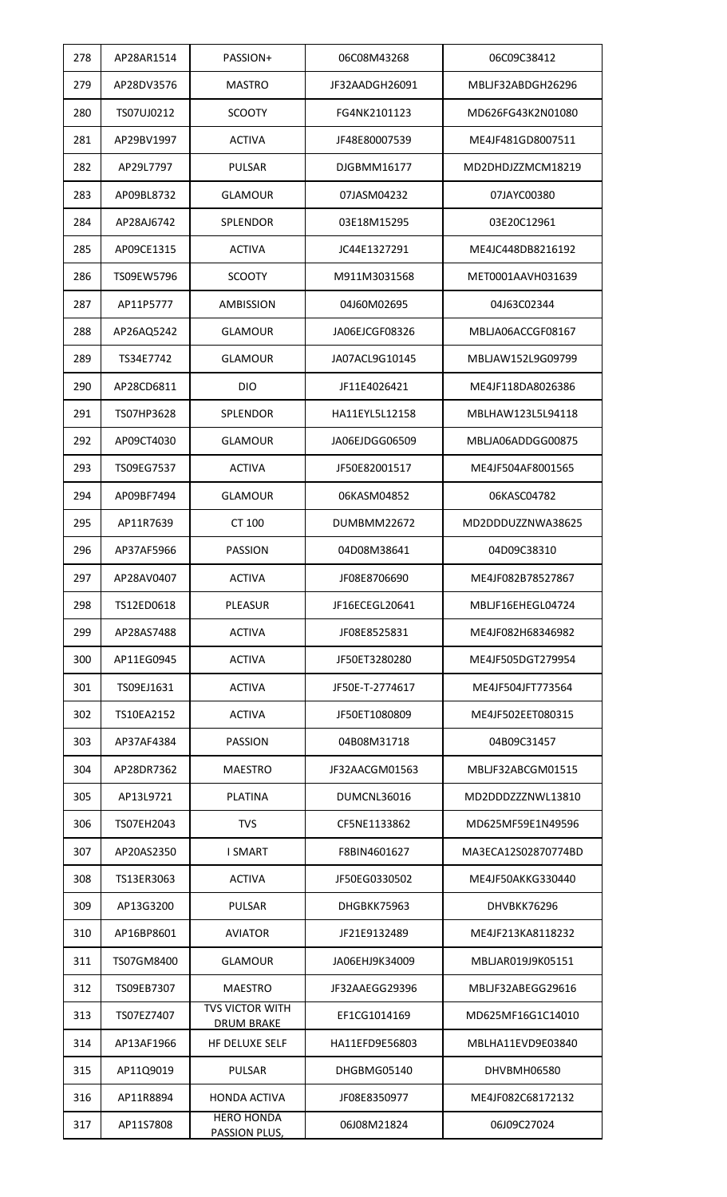| 278 | AP28AR1514 | PASSION+                                    | 06C08M43268        | 06C09C38412         |
|-----|------------|---------------------------------------------|--------------------|---------------------|
| 279 | AP28DV3576 | <b>MASTRO</b>                               | JF32AADGH26091     | MBLJF32ABDGH26296   |
| 280 | TS07UJ0212 | <b>SCOOTY</b>                               | FG4NK2101123       | MD626FG43K2N01080   |
| 281 | AP29BV1997 | <b>ACTIVA</b>                               | JF48E80007539      | ME4JF481GD8007511   |
| 282 | AP29L7797  | <b>PULSAR</b>                               | DJGBMM16177        | MD2DHDJZZMCM18219   |
| 283 | AP09BL8732 | <b>GLAMOUR</b>                              | 07JASM04232        | 07JAYC00380         |
| 284 | AP28AJ6742 | <b>SPLENDOR</b>                             | 03E18M15295        | 03E20C12961         |
| 285 | AP09CE1315 | <b>ACTIVA</b>                               | JC44E1327291       | ME4JC448DB8216192   |
| 286 | TS09EW5796 | <b>SCOOTY</b>                               | M911M3031568       | MET0001AAVH031639   |
| 287 | AP11P5777  | <b>AMBISSION</b>                            | 04J60M02695        | 04J63C02344         |
| 288 | AP26AQ5242 | <b>GLAMOUR</b>                              | JA06EJCGF08326     | MBLJA06ACCGF08167   |
| 289 | TS34E7742  | <b>GLAMOUR</b>                              | JA07ACL9G10145     | MBLJAW152L9G09799   |
| 290 | AP28CD6811 | <b>DIO</b>                                  | JF11E4026421       | ME4JF118DA8026386   |
| 291 | TS07HP3628 | SPLENDOR                                    | HA11EYL5L12158     | MBLHAW123L5L94118   |
| 292 | AP09CT4030 | <b>GLAMOUR</b>                              | JA06EJDGG06509     | MBLJA06ADDGG00875   |
| 293 | TS09EG7537 | <b>ACTIVA</b>                               | JF50E82001517      | ME4JF504AF8001565   |
| 294 | AP09BF7494 | <b>GLAMOUR</b>                              | 06KASM04852        | 06KASC04782         |
| 295 | AP11R7639  | CT 100                                      | <b>DUMBMM22672</b> | MD2DDDUZZNWA38625   |
| 296 | AP37AF5966 | <b>PASSION</b>                              | 04D08M38641        | 04D09C38310         |
| 297 | AP28AV0407 | <b>ACTIVA</b>                               | JF08E8706690       | ME4JF082B78527867   |
| 298 | TS12ED0618 | <b>PLEASUR</b>                              | JF16ECEGL20641     | MBLJF16EHEGL04724   |
| 299 | AP28AS7488 | <b>ACTIVA</b>                               | JF08E8525831       | ME4JF082H68346982   |
| 300 | AP11EG0945 | <b>ACTIVA</b>                               | JF50ET3280280      | ME4JF505DGT279954   |
| 301 | TS09EJ1631 | <b>ACTIVA</b>                               | JF50E-T-2774617    | ME4JF504JFT773564   |
| 302 | TS10EA2152 | ACTIVA                                      | JF50ET1080809      | ME4JF502EET080315   |
| 303 | AP37AF4384 | <b>PASSION</b>                              | 04B08M31718        | 04B09C31457         |
| 304 | AP28DR7362 | <b>MAESTRO</b>                              | JF32AACGM01563     | MBLJF32ABCGM01515   |
| 305 | AP13L9721  | <b>PLATINA</b>                              | DUMCNL36016        | MD2DDDZZZNWL13810   |
| 306 | TS07EH2043 | <b>TVS</b>                                  | CF5NE1133862       | MD625MF59E1N49596   |
| 307 | AP20AS2350 | <b>I SMART</b>                              | F8BIN4601627       | MA3ECA12S02870774BD |
| 308 | TS13ER3063 | <b>ACTIVA</b>                               | JF50EG0330502      | ME4JF50AKKG330440   |
| 309 | AP13G3200  | <b>PULSAR</b>                               | DHGBKK75963        | DHVBKK76296         |
| 310 | AP16BP8601 | <b>AVIATOR</b>                              | JF21E9132489       | ME4JF213KA8118232   |
| 311 | TS07GM8400 | <b>GLAMOUR</b>                              | JA06EHJ9K34009     | MBLJAR019J9K05151   |
| 312 | TS09EB7307 | <b>MAESTRO</b>                              | JF32AAEGG29396     | MBLJF32ABEGG29616   |
| 313 | TS07EZ7407 | <b>TVS VICTOR WITH</b><br><b>DRUM BRAKE</b> | EF1CG1014169       | MD625MF16G1C14010   |
| 314 | AP13AF1966 | HF DELUXE SELF                              | HA11EFD9E56803     | MBLHA11EVD9E03840   |
| 315 | AP11Q9019  | <b>PULSAR</b>                               | DHGBMG05140        | DHVBMH06580         |
| 316 | AP11R8894  | <b>HONDA ACTIVA</b>                         | JF08E8350977       | ME4JF082C68172132   |
| 317 | AP11S7808  | <b>HERO HONDA</b><br>PASSION PLUS,          | 06J08M21824        | 06J09C27024         |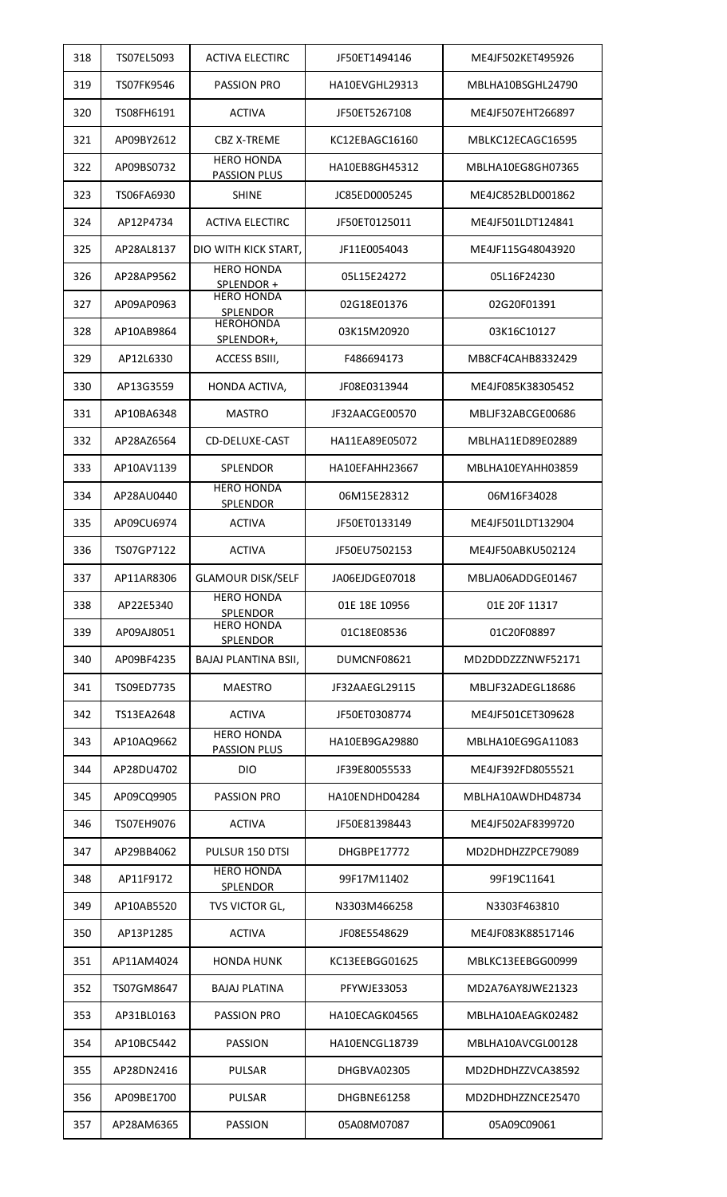| 318 | TS07EL5093 | <b>ACTIVA ELECTIRC</b>                   | JF50ET1494146      | ME4JF502KET495926 |
|-----|------------|------------------------------------------|--------------------|-------------------|
| 319 | TS07FK9546 | <b>PASSION PRO</b>                       | HA10EVGHL29313     | MBLHA10BSGHL24790 |
| 320 | TS08FH6191 | <b>ACTIVA</b>                            | JF50ET5267108      | ME4JF507EHT266897 |
| 321 | AP09BY2612 | <b>CBZ X-TREME</b>                       | KC12EBAGC16160     | MBLKC12ECAGC16595 |
| 322 | AP09BS0732 | <b>HERO HONDA</b><br><b>PASSION PLUS</b> | HA10EB8GH45312     | MBLHA10EG8GH07365 |
| 323 | TS06FA6930 | <b>SHINE</b>                             | JC85ED0005245      | ME4JC852BLD001862 |
| 324 | AP12P4734  | <b>ACTIVA ELECTIRC</b>                   | JF50ET0125011      | ME4JF501LDT124841 |
| 325 | AP28AL8137 | DIO WITH KICK START,                     | JF11E0054043       | ME4JF115G48043920 |
| 326 | AP28AP9562 | <b>HERO HONDA</b><br>SPLENDOR +          | 05L15E24272        | 05L16F24230       |
| 327 | AP09AP0963 | <b>HERO HONDA</b><br>SPLENDOR            | 02G18E01376        | 02G20F01391       |
| 328 | AP10AB9864 | <b>HEROHONDA</b><br>SPLENDOR+,           | 03K15M20920        | 03K16C10127       |
| 329 | AP12L6330  | ACCESS BSIII,                            | F486694173         | MB8CF4CAHB8332429 |
| 330 | AP13G3559  | HONDA ACTIVA,                            | JF08E0313944       | ME4JF085K38305452 |
| 331 | AP10BA6348 | <b>MASTRO</b>                            | JF32AACGE00570     | MBLJF32ABCGE00686 |
| 332 | AP28AZ6564 | CD-DELUXE-CAST                           | HA11EA89E05072     | MBLHA11ED89E02889 |
| 333 | AP10AV1139 | <b>SPLENDOR</b>                          | HA10EFAHH23667     | MBLHA10EYAHH03859 |
| 334 | AP28AU0440 | <b>HERO HONDA</b><br><b>SPLENDOR</b>     | 06M15E28312        | 06M16F34028       |
| 335 | AP09CU6974 | <b>ACTIVA</b>                            | JF50ET0133149      | ME4JF501LDT132904 |
| 336 | TS07GP7122 | <b>ACTIVA</b>                            | JF50EU7502153      | ME4JF50ABKU502124 |
| 337 | AP11AR8306 | <b>GLAMOUR DISK/SELF</b>                 | JA06EJDGE07018     | MBLJA06ADDGE01467 |
| 338 | AP22E5340  | <b>HERO HONDA</b><br><b>SPLENDOR</b>     | 01E 18E 10956      | 01E 20F 11317     |
| 339 | AP09AJ8051 | <b>HERO HONDA</b><br><b>SPLENDOR</b>     | 01C18E08536        | 01C20F08897       |
| 340 | AP09BF4235 | BAJAJ PLANTINA BSII,                     | DUMCNF08621        | MD2DDDZZZNWF52171 |
| 341 | TS09ED7735 | <b>MAESTRO</b>                           | JF32AAEGL29115     | MBLJF32ADEGL18686 |
| 342 | TS13EA2648 | <b>ACTIVA</b>                            | JF50ET0308774      | ME4JF501CET309628 |
| 343 | AP10AQ9662 | <b>HERO HONDA</b><br><b>PASSION PLUS</b> | HA10EB9GA29880     | MBLHA10EG9GA11083 |
| 344 | AP28DU4702 | <b>DIO</b>                               | JF39E80055533      | ME4JF392FD8055521 |
| 345 | AP09CQ9905 | <b>PASSION PRO</b>                       | HA10ENDHD04284     | MBLHA10AWDHD48734 |
| 346 | TS07EH9076 | <b>ACTIVA</b>                            | JF50E81398443      | ME4JF502AF8399720 |
| 347 | AP29BB4062 | PULSUR 150 DTSI                          | DHGBPE17772        | MD2DHDHZZPCE79089 |
| 348 | AP11F9172  | <b>HERO HONDA</b><br>SPLENDOR            | 99F17M11402        | 99F19C11641       |
| 349 | AP10AB5520 | TVS VICTOR GL,                           | N3303M466258       | N3303F463810      |
| 350 | AP13P1285  | <b>ACTIVA</b>                            | JF08E5548629       | ME4JF083K88517146 |
| 351 | AP11AM4024 | <b>HONDA HUNK</b>                        | KC13EEBGG01625     | MBLKC13EEBGG00999 |
| 352 | TS07GM8647 | <b>BAJAJ PLATINA</b>                     | <b>PFYWJE33053</b> | MD2A76AY8JWE21323 |
| 353 | AP31BL0163 | <b>PASSION PRO</b>                       | HA10ECAGK04565     | MBLHA10AEAGK02482 |
| 354 | AP10BC5442 | <b>PASSION</b>                           | HA10ENCGL18739     | MBLHA10AVCGL00128 |
| 355 | AP28DN2416 | <b>PULSAR</b>                            | DHGBVA02305        | MD2DHDHZZVCA38592 |
| 356 | AP09BE1700 | <b>PULSAR</b>                            | DHGBNE61258        | MD2DHDHZZNCE25470 |
| 357 | AP28AM6365 | <b>PASSION</b>                           | 05A08M07087        | 05A09C09061       |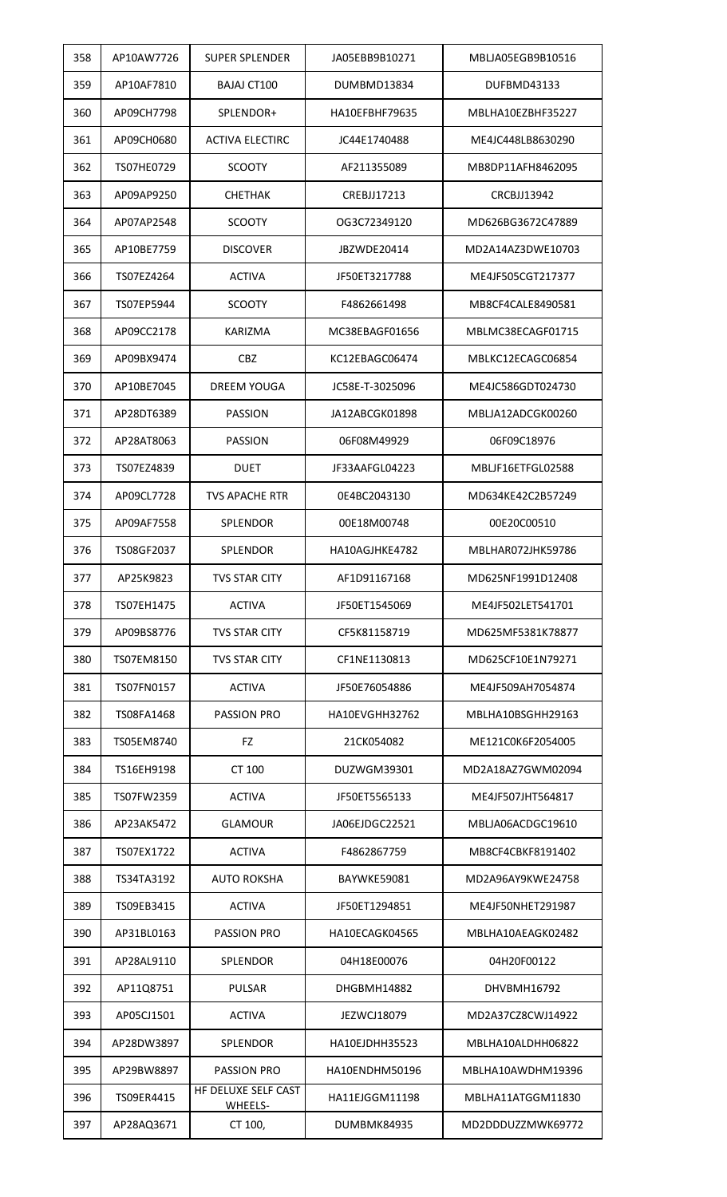| 358 | AP10AW7726 | <b>SUPER SPLENDER</b>          | JA05EBB9B10271     | MBLJA05EGB9B10516 |
|-----|------------|--------------------------------|--------------------|-------------------|
| 359 | AP10AF7810 | <b>BAJAJ CT100</b>             | DUMBMD13834        | DUFBMD43133       |
| 360 | AP09CH7798 | SPLENDOR+                      | HA10EFBHF79635     | MBLHA10EZBHF35227 |
| 361 | AP09CH0680 | <b>ACTIVA ELECTIRC</b>         | JC44E1740488       | ME4JC448LB8630290 |
| 362 | TS07HE0729 | <b>SCOOTY</b>                  | AF211355089        | MB8DP11AFH8462095 |
| 363 | AP09AP9250 | CHETHAK                        | <b>CREBJJ17213</b> | CRCBJJ13942       |
| 364 | AP07AP2548 | <b>SCOOTY</b>                  | OG3C72349120       | MD626BG3672C47889 |
| 365 | AP10BE7759 | <b>DISCOVER</b>                | JBZWDE20414        | MD2A14AZ3DWE10703 |
| 366 | TS07EZ4264 | <b>ACTIVA</b>                  | JF50ET3217788      | ME4JF505CGT217377 |
| 367 | TS07EP5944 | <b>SCOOTY</b>                  | F4862661498        | MB8CF4CALE8490581 |
| 368 | AP09CC2178 | <b>KARIZMA</b>                 | MC38EBAGF01656     | MBLMC38ECAGF01715 |
| 369 | AP09BX9474 | <b>CBZ</b>                     | KC12EBAGC06474     | MBLKC12ECAGC06854 |
| 370 | AP10BE7045 | <b>DREEM YOUGA</b>             | JC58E-T-3025096    | ME4JC586GDT024730 |
| 371 | AP28DT6389 | <b>PASSION</b>                 | JA12ABCGK01898     | MBLJA12ADCGK00260 |
| 372 | AP28AT8063 | <b>PASSION</b>                 | 06F08M49929        | 06F09C18976       |
| 373 | TS07EZ4839 | <b>DUET</b>                    | JF33AAFGL04223     | MBLJF16ETFGL02588 |
| 374 | AP09CL7728 | <b>TVS APACHE RTR</b>          | 0E4BC2043130       | MD634KE42C2B57249 |
| 375 | AP09AF7558 | SPLENDOR                       | 00E18M00748        | 00E20C00510       |
| 376 | TS08GF2037 | <b>SPLENDOR</b>                | HA10AGJHKE4782     | MBLHAR072JHK59786 |
| 377 | AP25K9823  | <b>TVS STAR CITY</b>           | AF1D91167168       | MD625NF1991D12408 |
| 378 | TS07EH1475 | <b>ACTIVA</b>                  | JF50ET1545069      | ME4JF502LET541701 |
| 379 | AP09BS8776 | <b>TVS STAR CITY</b>           | CF5K81158719       | MD625MF5381K78877 |
| 380 | TS07EM8150 | <b>TVS STAR CITY</b>           | CF1NE1130813       | MD625CF10E1N79271 |
| 381 | TS07FN0157 | <b>ACTIVA</b>                  | JF50E76054886      | ME4JF509AH7054874 |
| 382 | TS08FA1468 | PASSION PRO                    | HA10EVGHH32762     | MBLHA10BSGHH29163 |
| 383 | TS05EM8740 | <b>FZ</b>                      | 21CK054082         | ME121C0K6F2054005 |
| 384 | TS16EH9198 | CT 100                         | DUZWGM39301        | MD2A18AZ7GWM02094 |
| 385 | TS07FW2359 | <b>ACTIVA</b>                  | JF50ET5565133      | ME4JF507JHT564817 |
| 386 | AP23AK5472 | <b>GLAMOUR</b>                 | JA06EJDGC22521     | MBLJA06ACDGC19610 |
| 387 | TS07EX1722 | <b>ACTIVA</b>                  | F4862867759        | MB8CF4CBKF8191402 |
| 388 | TS34TA3192 | AUTO ROKSHA                    | BAYWKE59081        | MD2A96AY9KWE24758 |
| 389 | TS09EB3415 | <b>ACTIVA</b>                  | JF50ET1294851      | ME4JF50NHET291987 |
| 390 | AP31BL0163 | PASSION PRO                    | HA10ECAGK04565     | MBLHA10AEAGK02482 |
| 391 | AP28AL9110 | <b>SPLENDOR</b>                | 04H18E00076        | 04H20F00122       |
| 392 | AP11Q8751  | <b>PULSAR</b>                  | DHGBMH14882        | DHVBMH16792       |
| 393 | AP05CJ1501 | <b>ACTIVA</b>                  | <b>JEZWCJ18079</b> | MD2A37CZ8CWJ14922 |
| 394 | AP28DW3897 | <b>SPLENDOR</b>                | HA10EJDHH35523     | MBLHA10ALDHH06822 |
| 395 | AP29BW8897 | <b>PASSION PRO</b>             | HA10ENDHM50196     | MBLHA10AWDHM19396 |
| 396 | TS09ER4415 | HF DELUXE SELF CAST<br>WHEELS- | HA11EJGGM11198     | MBLHA11ATGGM11830 |
| 397 | AP28AQ3671 | CT 100,                        | DUMBMK84935        | MD2DDDUZZMWK69772 |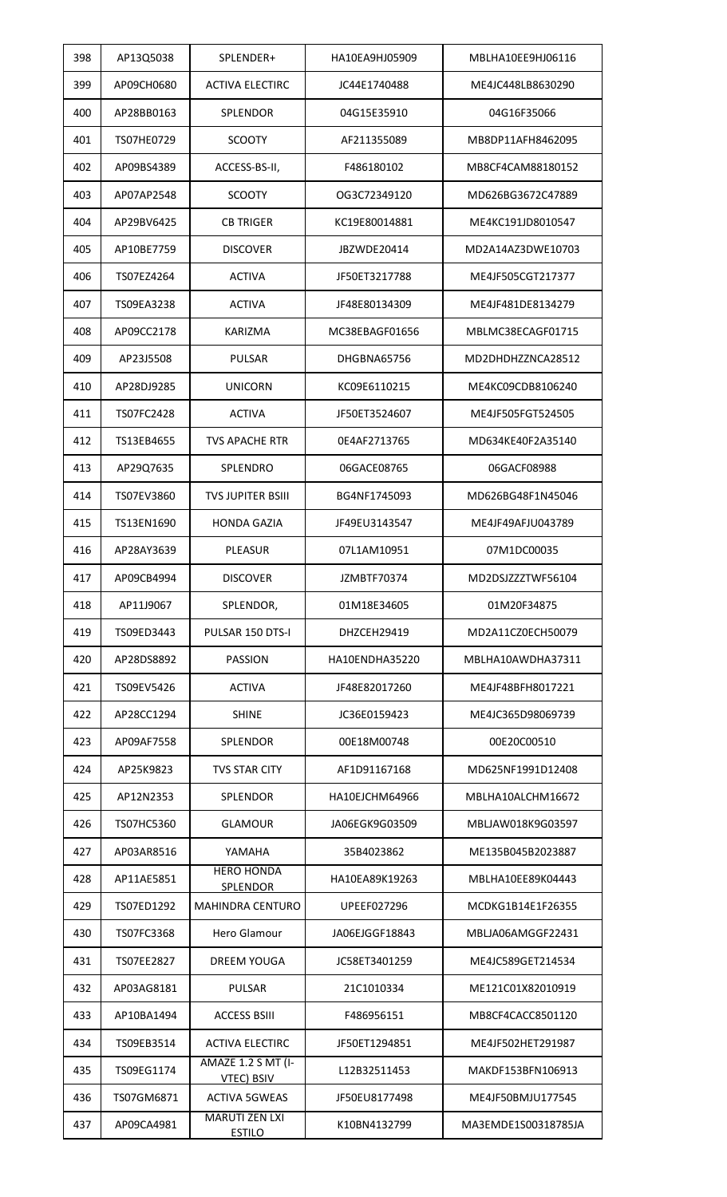| 398 | AP13Q5038  | SPLENDER+                               | HA10EA9HJ05909 | MBLHA10EE9HJ06116   |
|-----|------------|-----------------------------------------|----------------|---------------------|
| 399 | AP09CH0680 | <b>ACTIVA ELECTIRC</b>                  | JC44E1740488   | ME4JC448LB8630290   |
| 400 | AP28BB0163 | <b>SPLENDOR</b>                         | 04G15E35910    | 04G16F35066         |
| 401 | TS07HE0729 | <b>SCOOTY</b>                           | AF211355089    | MB8DP11AFH8462095   |
| 402 | AP09BS4389 | ACCESS-BS-II,                           | F486180102     | MB8CF4CAM88180152   |
| 403 | AP07AP2548 | <b>SCOOTY</b>                           | OG3C72349120   | MD626BG3672C47889   |
| 404 | AP29BV6425 | <b>CB TRIGER</b>                        | KC19E80014881  | ME4KC191JD8010547   |
| 405 | AP10BE7759 | <b>DISCOVER</b>                         | JBZWDE20414    | MD2A14AZ3DWE10703   |
| 406 | TS07EZ4264 | <b>ACTIVA</b>                           | JF50ET3217788  | ME4JF505CGT217377   |
| 407 | TS09EA3238 | <b>ACTIVA</b>                           | JF48E80134309  | ME4JF481DE8134279   |
| 408 | AP09CC2178 | KARIZMA                                 | MC38EBAGF01656 | MBLMC38ECAGF01715   |
| 409 | AP23J5508  | <b>PULSAR</b>                           | DHGBNA65756    | MD2DHDHZZNCA28512   |
| 410 | AP28DJ9285 | <b>UNICORN</b>                          | KC09E6110215   | ME4KC09CDB8106240   |
| 411 | TS07FC2428 | <b>ACTIVA</b>                           | JF50ET3524607  | ME4JF505FGT524505   |
| 412 | TS13EB4655 | <b>TVS APACHE RTR</b>                   | 0E4AF2713765   | MD634KE40F2A35140   |
| 413 | AP29Q7635  | SPLENDRO                                | 06GACE08765    | 06GACF08988         |
| 414 | TS07EV3860 | <b>TVS JUPITER BSIII</b>                | BG4NF1745093   | MD626BG48F1N45046   |
| 415 | TS13EN1690 | <b>HONDA GAZIA</b>                      | JF49EU3143547  | ME4JF49AFJU043789   |
| 416 | AP28AY3639 | <b>PLEASUR</b>                          | 07L1AM10951    | 07M1DC00035         |
| 417 | AP09CB4994 | <b>DISCOVER</b>                         | JZMBTF70374    | MD2DSJZZZTWF56104   |
| 418 | AP11J9067  | SPLENDOR,                               | 01M18E34605    | 01M20F34875         |
| 419 | TS09ED3443 | PULSAR 150 DTS-I                        | DHZCEH29419    | MD2A11CZ0ECH50079   |
| 420 | AP28DS8892 | <b>PASSION</b>                          | HA10ENDHA35220 | MBLHA10AWDHA37311   |
| 421 | TS09EV5426 | <b>ACTIVA</b>                           | JF48E82017260  | ME4JF48BFH8017221   |
| 422 | AP28CC1294 | SHINE                                   | JC36E0159423   | ME4JC365D98069739   |
| 423 | AP09AF7558 | <b>SPLENDOR</b>                         | 00E18M00748    | 00E20C00510         |
| 424 | AP25K9823  | <b>TVS STAR CITY</b>                    | AF1D91167168   | MD625NF1991D12408   |
| 425 | AP12N2353  | <b>SPLENDOR</b>                         | HA10EJCHM64966 | MBLHA10ALCHM16672   |
| 426 | TS07HC5360 | <b>GLAMOUR</b>                          | JA06EGK9G03509 | MBLJAW018K9G03597   |
| 427 | AP03AR8516 | YAMAHA                                  | 35B4023862     | ME135B045B2023887   |
| 428 | AP11AE5851 | <b>HERO HONDA</b><br><b>SPLENDOR</b>    | HA10EA89K19263 | MBLHA10EE89K04443   |
| 429 | TS07ED1292 | <b>MAHINDRA CENTURO</b>                 | UPEEF027296    | MCDKG1B14E1F26355   |
| 430 | TS07FC3368 | Hero Glamour                            | JA06EJGGF18843 | MBLJA06AMGGF22431   |
| 431 | TS07EE2827 | <b>DREEM YOUGA</b>                      | JC58ET3401259  | ME4JC589GET214534   |
| 432 | AP03AG8181 | <b>PULSAR</b>                           | 21C1010334     | ME121C01X82010919   |
| 433 | AP10BA1494 | <b>ACCESS BSIII</b>                     | F486956151     | MB8CF4CACC8501120   |
| 434 | TS09EB3514 | <b>ACTIVA ELECTIRC</b>                  | JF50ET1294851  | ME4JF502HET291987   |
| 435 | TS09EG1174 | AMAZE 1.2 S MT (I-<br><b>VTEC) BSIV</b> | L12B32511453   | MAKDF153BFN106913   |
| 436 | TS07GM6871 | <b>ACTIVA 5GWEAS</b>                    | JF50EU8177498  | ME4JF50BMJU177545   |
| 437 | AP09CA4981 | <b>MARUTI ZEN LXI</b><br><b>ESTILO</b>  | K10BN4132799   | MA3EMDE1S00318785JA |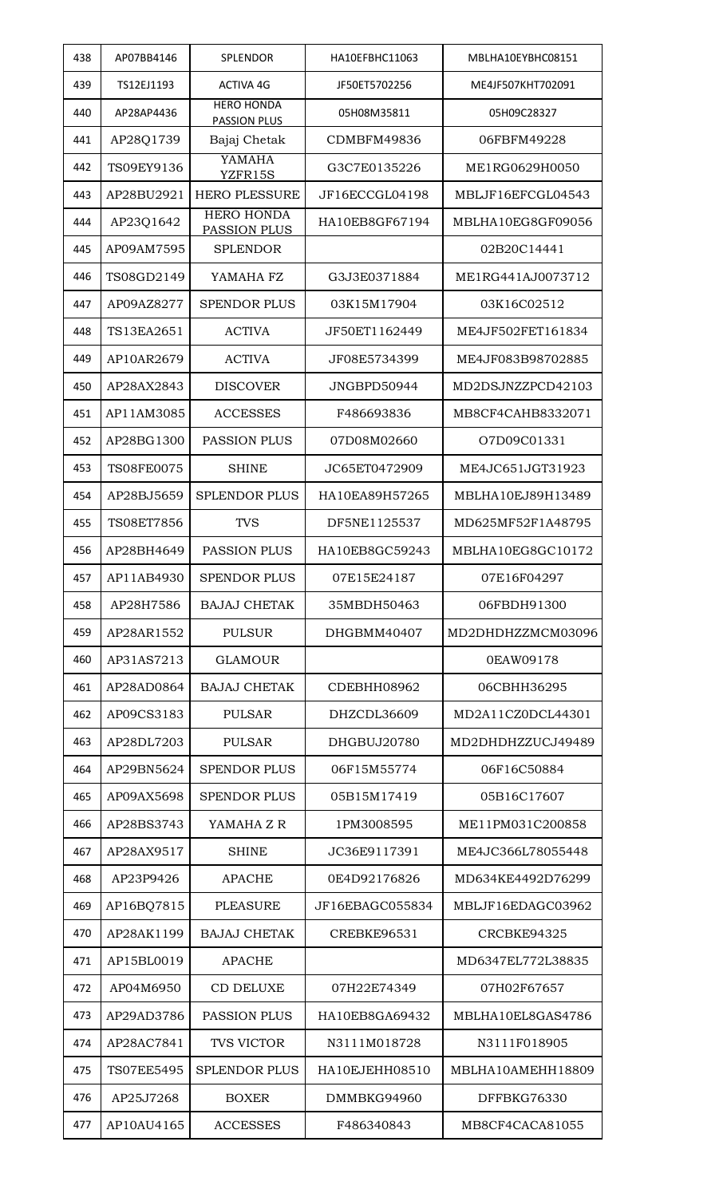| 438 | AP07BB4146        | SPLENDOR                                 | HA10EFBHC11063  | MBLHA10EYBHC08151 |
|-----|-------------------|------------------------------------------|-----------------|-------------------|
| 439 | TS12EJ1193        | <b>ACTIVA 4G</b>                         | JF50ET5702256   | ME4JF507KHT702091 |
| 440 | AP28AP4436        | <b>HERO HONDA</b><br><b>PASSION PLUS</b> | 05H08M35811     | 05H09C28327       |
| 441 | AP28Q1739         | Bajaj Chetak                             | CDMBFM49836     | 06FBFM49228       |
| 442 | TS09EY9136        | YAMAHA<br>YZFR15S                        | G3C7E0135226    | ME1RG0629H0050    |
| 443 | AP28BU2921        | <b>HERO PLESSURE</b>                     | JF16ECCGL04198  | MBLJF16EFCGL04543 |
| 444 | AP23Q1642         | <b>HERO HONDA</b><br><b>PASSION PLUS</b> | HA10EB8GF67194  | MBLHA10EG8GF09056 |
| 445 | AP09AM7595        | <b>SPLENDOR</b>                          |                 | 02B20C14441       |
| 446 | TS08GD2149        | YAMAHA FZ                                | G3J3E0371884    | ME1RG441AJ0073712 |
| 447 | AP09AZ8277        | <b>SPENDOR PLUS</b>                      | 03K15M17904     | 03K16C02512       |
| 448 | TS13EA2651        | <b>ACTIVA</b>                            | JF50ET1162449   | ME4JF502FET161834 |
| 449 | AP10AR2679        | <b>ACTIVA</b>                            | JF08E5734399    | ME4JF083B98702885 |
| 450 | AP28AX2843        | <b>DISCOVER</b>                          | JNGBPD50944     | MD2DSJNZZPCD42103 |
| 451 | AP11AM3085        | <b>ACCESSES</b>                          | F486693836      | MB8CF4CAHB8332071 |
| 452 | AP28BG1300        | <b>PASSION PLUS</b>                      | 07D08M02660     | O7D09C01331       |
| 453 | <b>TS08FE0075</b> | <b>SHINE</b>                             | JC65ET0472909   | ME4JC651JGT31923  |
| 454 | AP28BJ5659        | <b>SPLENDOR PLUS</b>                     | HA10EA89H57265  | MBLHA10EJ89H13489 |
| 455 | <b>TS08ET7856</b> | <b>TVS</b>                               | DF5NE1125537    | MD625MF52F1A48795 |
| 456 | AP28BH4649        | <b>PASSION PLUS</b>                      | HA10EB8GC59243  | MBLHA10EG8GC10172 |
| 457 | AP11AB4930        | <b>SPENDOR PLUS</b>                      | 07E15E24187     | 07E16F04297       |
| 458 | AP28H7586         | <b>BAJAJ CHETAK</b>                      | 35MBDH50463     | 06FBDH91300       |
| 459 | AP28AR1552        | <b>PULSUR</b>                            | DHGBMM40407     | MD2DHDHZZMCM03096 |
| 460 | AP31AS7213        | GLAMOUR                                  |                 | 0EAW09178         |
| 461 | AP28AD0864        | <b>BAJAJ CHETAK</b>                      | CDEBHH08962     | 06CBHH36295       |
| 462 | AP09CS3183        | <b>PULSAR</b>                            | DHZCDL36609     | MD2A11CZ0DCL44301 |
| 463 | AP28DL7203        | <b>PULSAR</b>                            | DHGBUJ20780     | MD2DHDHZZUCJ49489 |
| 464 | AP29BN5624        | <b>SPENDOR PLUS</b>                      | 06F15M55774     | 06F16C50884       |
| 465 | AP09AX5698        | <b>SPENDOR PLUS</b>                      | 05B15M17419     | 05B16C17607       |
| 466 | AP28BS3743        | YAMAHA Z R                               | 1PM3008595      | ME11PM031C200858  |
| 467 | AP28AX9517        | SHINE                                    | JC36E9117391    | ME4JC366L78055448 |
| 468 | AP23P9426         | APACHE                                   | 0E4D92176826    | MD634KE4492D76299 |
| 469 | AP16BQ7815        | PLEASURE                                 | JF16EBAGC055834 | MBLJF16EDAGC03962 |
| 470 | AP28AK1199        | <b>BAJAJ CHETAK</b>                      | CREBKE96531     | CRCBKE94325       |
| 471 | AP15BL0019        | <b>APACHE</b>                            |                 | MD6347EL772L38835 |
| 472 | AP04M6950         | <b>CD DELUXE</b>                         | 07H22E74349     | 07H02F67657       |
| 473 | AP29AD3786        | <b>PASSION PLUS</b>                      | HA10EB8GA69432  | MBLHA10EL8GAS4786 |
| 474 | AP28AC7841        | TVS VICTOR                               | N3111M018728    | N3111F018905      |
| 475 | <b>TS07EE5495</b> | <b>SPLENDOR PLUS</b>                     | HA10EJEHH08510  | MBLHA10AMEHH18809 |
| 476 | AP25J7268         | <b>BOXER</b>                             | DMMBKG94960     | DFFBKG76330       |
| 477 | AP10AU4165        | <b>ACCESSES</b>                          | F486340843      | MB8CF4CACA81055   |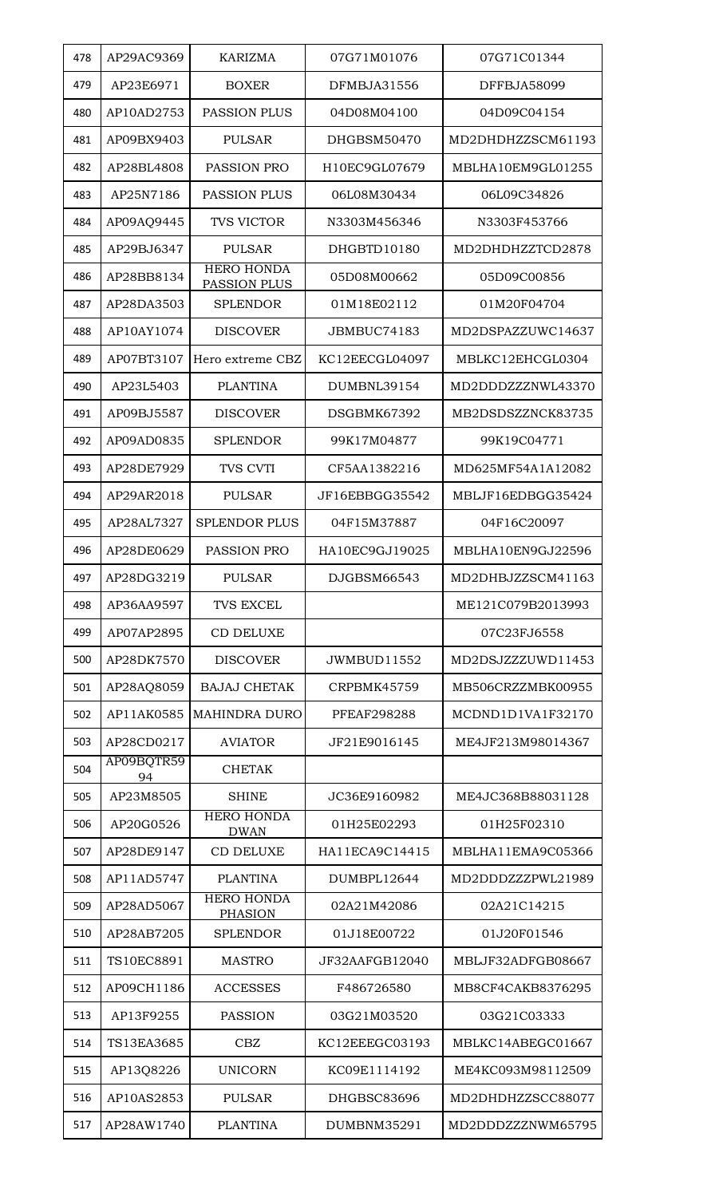| 478 | AP29AC9369       | <b>KARIZMA</b>                      | 07G71M01076        | 07G71C01344       |
|-----|------------------|-------------------------------------|--------------------|-------------------|
| 479 | AP23E6971        | <b>BOXER</b>                        | DFMBJA31556        | DFFBJA58099       |
| 480 | AP10AD2753       | <b>PASSION PLUS</b>                 | 04D08M04100        | 04D09C04154       |
| 481 | AP09BX9403       | <b>PULSAR</b>                       | DHGBSM50470        | MD2DHDHZZSCM61193 |
| 482 | AP28BL4808       | PASSION PRO                         | H10EC9GL07679      | MBLHA10EM9GL01255 |
| 483 | AP25N7186        | <b>PASSION PLUS</b>                 | 06L08M30434        | 06L09C34826       |
| 484 | AP09AQ9445       | TVS VICTOR                          | N3303M456346       | N3303F453766      |
| 485 | AP29BJ6347       | <b>PULSAR</b>                       | DHGBTD10180        | MD2DHDHZZTCD2878  |
| 486 | AP28BB8134       | <b>HERO HONDA</b><br>PASSION PLUS   | 05D08M00662        | 05D09C00856       |
| 487 | AP28DA3503       | <b>SPLENDOR</b>                     | 01M18E02112        | 01M20F04704       |
| 488 | AP10AY1074       | <b>DISCOVER</b>                     | JBMBUC74183        | MD2DSPAZZUWC14637 |
| 489 | AP07BT3107       | Hero extreme CBZ                    | KC12EECGL04097     | MBLKC12EHCGL0304  |
| 490 | AP23L5403        | <b>PLANTINA</b>                     | DUMBNL39154        | MD2DDDZZZNWL43370 |
| 491 | AP09BJ5587       | <b>DISCOVER</b>                     | DSGBMK67392        | MB2DSDSZZNCK83735 |
| 492 | AP09AD0835       | <b>SPLENDOR</b>                     | 99K17M04877        | 99K19C04771       |
| 493 | AP28DE7929       | TVS CVTI                            | CF5AA1382216       | MD625MF54A1A12082 |
| 494 | AP29AR2018       | <b>PULSAR</b>                       | JF16EBBGG35542     | MBLJF16EDBGG35424 |
| 495 | AP28AL7327       | <b>SPLENDOR PLUS</b>                | 04F15M37887        | 04F16C20097       |
| 496 | AP28DE0629       | PASSION PRO                         | HA10EC9GJ19025     | MBLHA10EN9GJ22596 |
| 497 | AP28DG3219       | <b>PULSAR</b>                       | DJGBSM66543        | MD2DHBJZZSCM41163 |
| 498 | AP36AA9597       | <b>TVS EXCEL</b>                    |                    | ME121C079B2013993 |
| 499 | AP07AP2895       | <b>CD DELUXE</b>                    |                    | 07C23FJ6558       |
| 500 | AP28DK7570       | <b>DISCOVER</b>                     | JWMBUD11552        | MD2DSJZZZUWD11453 |
| 501 | AP28AQ8059       | <b>BAJAJ CHETAK</b>                 | CRPBMK45759        | MB506CRZZMBK00955 |
| 502 | AP11AK0585       | <b>MAHINDRA DURO</b>                | <b>PFEAF298288</b> | MCDND1D1VA1F32170 |
| 503 | AP28CD0217       | <b>AVIATOR</b>                      | JF21E9016145       | ME4JF213M98014367 |
| 504 | AP09BQTR59<br>94 | <b>CHETAK</b>                       |                    |                   |
| 505 | AP23M8505        | <b>SHINE</b>                        | JC36E9160982       | ME4JC368B88031128 |
| 506 | AP20G0526        | <b>HERO HONDA</b><br><b>DWAN</b>    | 01H25E02293        | 01H25F02310       |
| 507 | AP28DE9147       | <b>CD DELUXE</b>                    | HA11ECA9C14415     | MBLHA11EMA9C05366 |
| 508 | AP11AD5747       | <b>PLANTINA</b>                     | DUMBPL12644        | MD2DDDZZZPWL21989 |
| 509 | AP28AD5067       | <b>HERO HONDA</b><br><b>PHASION</b> | 02A21M42086        | 02A21C14215       |
| 510 | AP28AB7205       | <b>SPLENDOR</b>                     | 01J18E00722        | 01J20F01546       |
| 511 | TS10EC8891       | <b>MASTRO</b>                       | JF32AAFGB12040     | MBLJF32ADFGB08667 |
| 512 | AP09CH1186       | <b>ACCESSES</b>                     | F486726580         | MB8CF4CAKB8376295 |
| 513 | AP13F9255        | <b>PASSION</b>                      | 03G21M03520        | 03G21C03333       |
| 514 | TS13EA3685       | CBZ                                 | KC12EEEGC03193     | MBLKC14ABEGC01667 |
| 515 | AP13Q8226        | <b>UNICORN</b>                      | KC09E1114192       | ME4KC093M98112509 |
| 516 | AP10AS2853       | <b>PULSAR</b>                       | DHGBSC83696        | MD2DHDHZZSCC88077 |
| 517 | AP28AW1740       | <b>PLANTINA</b>                     | DUMBNM35291        | MD2DDDZZZNWM65795 |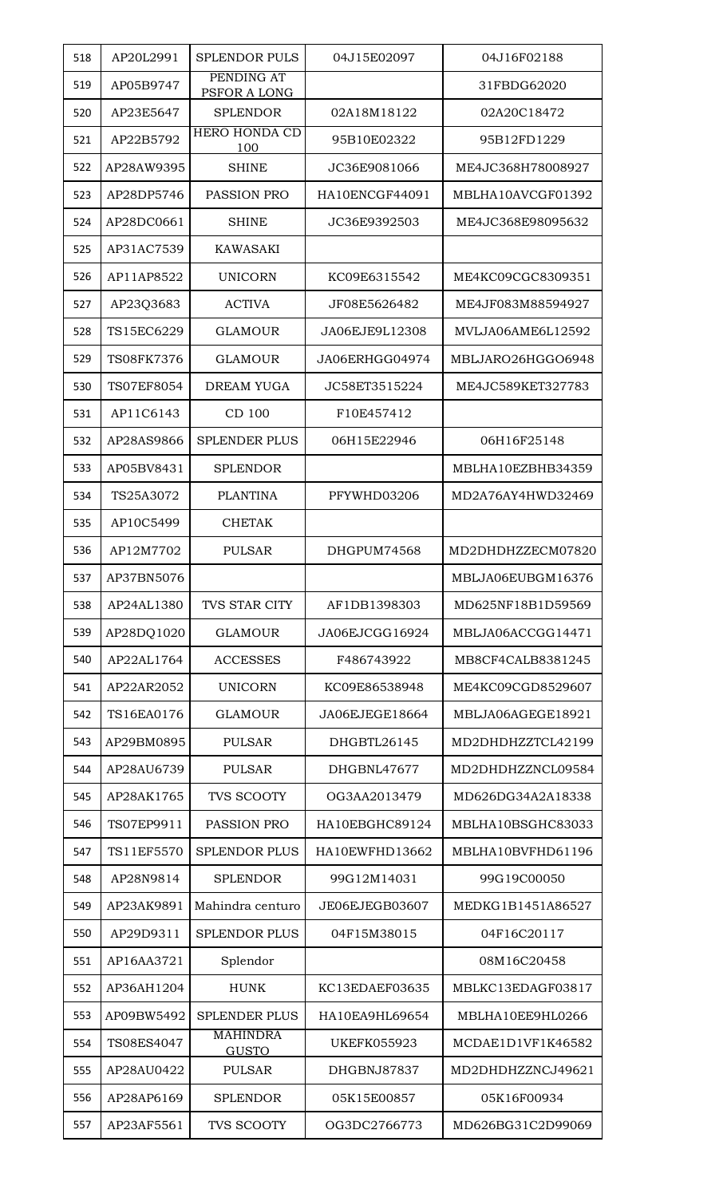| 518 | AP20L2991         | <b>SPLENDOR PULS</b>            | 04J15E02097        | 04J16F02188       |
|-----|-------------------|---------------------------------|--------------------|-------------------|
| 519 | AP05B9747         | PENDING AT<br>PSFOR A LONG      |                    | 31FBDG62020       |
| 520 | AP23E5647         | <b>SPLENDOR</b>                 | 02A18M18122        | 02A20C18472       |
| 521 | AP22B5792         | <b>HERO HONDA CD</b><br>100     | 95B10E02322        | 95B12FD1229       |
| 522 | AP28AW9395        | <b>SHINE</b>                    | JC36E9081066       | ME4JC368H78008927 |
| 523 | AP28DP5746        | PASSION PRO                     | HA10ENCGF44091     | MBLHA10AVCGF01392 |
| 524 | AP28DC0661        | <b>SHINE</b>                    | JC36E9392503       | ME4JC368E98095632 |
| 525 | AP31AC7539        | <b>KAWASAKI</b>                 |                    |                   |
| 526 | AP11AP8522        | <b>UNICORN</b>                  | KC09E6315542       | ME4KC09CGC8309351 |
| 527 | AP23Q3683         | <b>ACTIVA</b>                   | JF08E5626482       | ME4JF083M88594927 |
| 528 | TS15EC6229        | <b>GLAMOUR</b>                  | JA06EJE9L12308     | MVLJA06AME6L12592 |
| 529 | TS08FK7376        | <b>GLAMOUR</b>                  | JA06ERHGG04974     | MBLJARO26HGGO6948 |
| 530 | <b>TS07EF8054</b> | DREAM YUGA                      | JC58ET3515224      | ME4JC589KET327783 |
| 531 | AP11C6143         | CD 100                          | F10E457412         |                   |
| 532 | AP28AS9866        | <b>SPLENDER PLUS</b>            | 06H15E22946        | 06H16F25148       |
| 533 | AP05BV8431        | <b>SPLENDOR</b>                 |                    | MBLHA10EZBHB34359 |
| 534 | TS25A3072         | <b>PLANTINA</b>                 | PFYWHD03206        | MD2A76AY4HWD32469 |
| 535 | AP10C5499         | <b>CHETAK</b>                   |                    |                   |
| 536 | AP12M7702         | <b>PULSAR</b>                   | DHGPUM74568        | MD2DHDHZZECM07820 |
| 537 | AP37BN5076        |                                 |                    | MBLJA06EUBGM16376 |
| 538 | AP24AL1380        | TVS STAR CITY                   | AF1DB1398303       | MD625NF18B1D59569 |
| 539 | AP28DQ1020        | <b>GLAMOUR</b>                  | JA06EJCGG16924     | MBLJA06ACCGG14471 |
| 540 | AP22AL1764        | <b>ACCESSES</b>                 | F486743922         | MB8CF4CALB8381245 |
| 541 | AP22AR2052        | <b>UNICORN</b>                  | KC09E86538948      | ME4KC09CGD8529607 |
| 542 | TS16EA0176        | <b>GLAMOUR</b>                  | JA06EJEGE18664     | MBLJA06AGEGE18921 |
| 543 | AP29BM0895        | <b>PULSAR</b>                   | DHGBTL26145        | MD2DHDHZZTCL42199 |
| 544 | AP28AU6739        | <b>PULSAR</b>                   | DHGBNL47677        | MD2DHDHZZNCL09584 |
| 545 | AP28AK1765        | TVS SCOOTY                      | OG3AA2013479       | MD626DG34A2A18338 |
| 546 | TS07EP9911        | <b>PASSION PRO</b>              | HA10EBGHC89124     | MBLHA10BSGHC83033 |
| 547 | TS11EF5570        | <b>SPLENDOR PLUS</b>            | HA10EWFHD13662     | MBLHA10BVFHD61196 |
| 548 | AP28N9814         | <b>SPLENDOR</b>                 | 99G12M14031        | 99G19C00050       |
| 549 | AP23AK9891        | Mahindra centuro                | JE06EJEGB03607     | MEDKG1B1451A86527 |
| 550 | AP29D9311         | <b>SPLENDOR PLUS</b>            | 04F15M38015        | 04F16C20117       |
| 551 | AP16AA3721        | Splendor                        |                    | 08M16C20458       |
| 552 | AP36AH1204        | <b>HUNK</b>                     | KC13EDAEF03635     | MBLKC13EDAGF03817 |
| 553 | AP09BW5492        | <b>SPLENDER PLUS</b>            | HA10EA9HL69654     | MBLHA10EE9HL0266  |
| 554 | TS08ES4047        | <b>MAHINDRA</b><br><b>GUSTO</b> | <b>UKEFK055923</b> | MCDAE1D1VF1K46582 |
| 555 | AP28AU0422        | <b>PULSAR</b>                   | DHGBNJ87837        | MD2DHDHZZNCJ49621 |
| 556 | AP28AP6169        | <b>SPLENDOR</b>                 | 05K15E00857        | 05K16F00934       |
| 557 | AP23AF5561        | TVS SCOOTY                      | OG3DC2766773       | MD626BG31C2D99069 |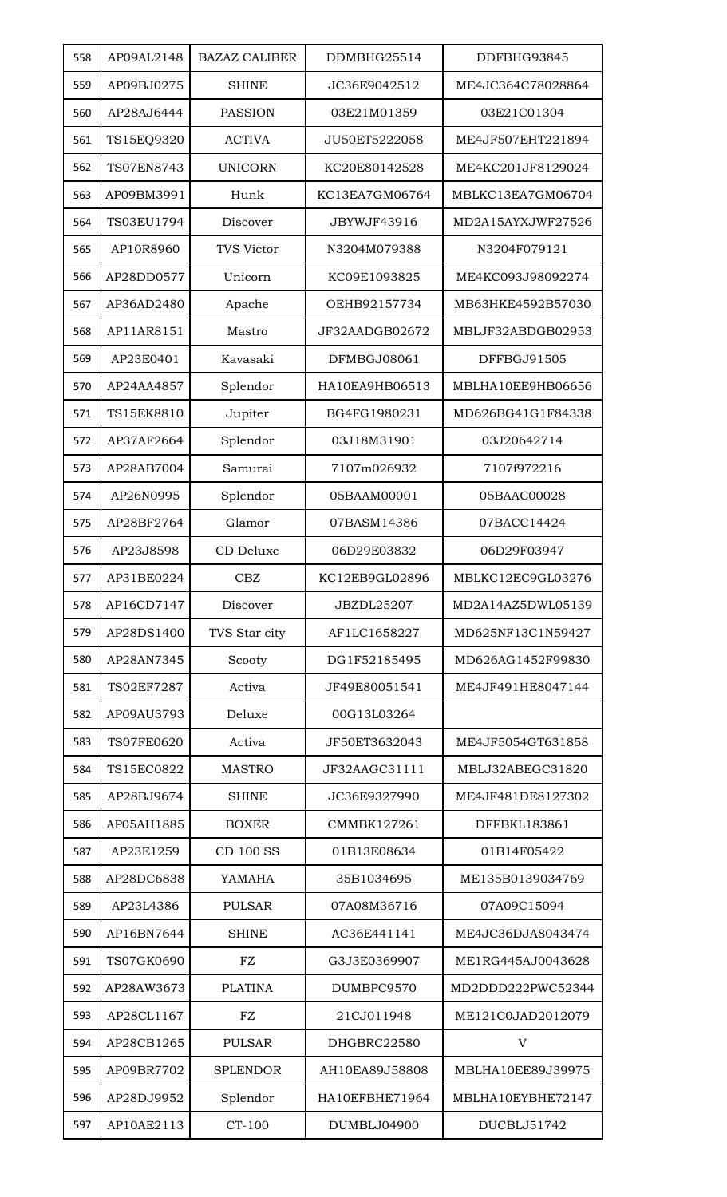| 558 | AP09AL2148        | <b>BAZAZ CALIBER</b> | DDMBHG25514    | DDFBHG93845       |
|-----|-------------------|----------------------|----------------|-------------------|
| 559 | AP09BJ0275        | <b>SHINE</b>         | JC36E9042512   | ME4JC364C78028864 |
| 560 | AP28AJ6444        | <b>PASSION</b>       | 03E21M01359    | 03E21C01304       |
| 561 | TS15EQ9320        | <b>ACTIVA</b>        | JU50ET5222058  | ME4JF507EHT221894 |
| 562 | <b>TS07EN8743</b> | <b>UNICORN</b>       | KC20E80142528  | ME4KC201JF8129024 |
| 563 | AP09BM3991        | Hunk                 | KC13EA7GM06764 | MBLKC13EA7GM06704 |
| 564 | TS03EU1794        | Discover             | JBYWJF43916    | MD2A15AYXJWF27526 |
| 565 | AP10R8960         | <b>TVS Victor</b>    | N3204M079388   | N3204F079121      |
| 566 | AP28DD0577        | Unicorn              | KC09E1093825   | ME4KC093J98092274 |
| 567 | AP36AD2480        | Apache               | OEHB92157734   | MB63HKE4592B57030 |
| 568 | AP11AR8151        | Mastro               | JF32AADGB02672 | MBLJF32ABDGB02953 |
| 569 | AP23E0401         | Kavasaki             | DFMBGJ08061    | DFFBGJ91505       |
| 570 | AP24AA4857        | Splendor             | HA10EA9HB06513 | MBLHA10EE9HB06656 |
| 571 | TS15EK8810        | Jupiter              | BG4FG1980231   | MD626BG41G1F84338 |
| 572 | AP37AF2664        | Splendor             | 03J18M31901    | 03J20642714       |
| 573 | AP28AB7004        | Samurai              | 7107m026932    | 7107f972216       |
| 574 | AP26N0995         | Splendor             | 05BAAM00001    | 05BAAC00028       |
| 575 | AP28BF2764        | Glamor               | 07BASM14386    | 07BACC14424       |
| 576 | AP23J8598         | CD Deluxe            | 06D29E03832    | 06D29F03947       |
| 577 | AP31BE0224        | <b>CBZ</b>           | KC12EB9GL02896 | MBLKC12EC9GL03276 |
| 578 | AP16CD7147        | Discover             | JBZDL25207     | MD2A14AZ5DWL05139 |
| 579 | AP28DS1400        | TVS Star city        | AF1LC1658227   | MD625NF13C1N59427 |
| 580 | AP28AN7345        | Scooty               | DG1F52185495   | MD626AG1452F99830 |
| 581 | <b>TS02EF7287</b> | Activa               | JF49E80051541  | ME4JF491HE8047144 |
| 582 | AP09AU3793        | Deluxe               | 00G13L03264    |                   |
| 583 | <b>TS07FE0620</b> | Activa               | JF50ET3632043  | ME4JF5054GT631858 |
| 584 | TS15EC0822        | <b>MASTRO</b>        | JF32AAGC31111  | MBLJ32ABEGC31820  |
| 585 | AP28BJ9674        | <b>SHINE</b>         | JC36E9327990   | ME4JF481DE8127302 |
| 586 | AP05AH1885        | <b>BOXER</b>         | CMMBK127261    | DFFBKL183861      |
| 587 | AP23E1259         | <b>CD 100 SS</b>     | 01B13E08634    | 01B14F05422       |
| 588 | AP28DC6838        | YAMAHA               | 35B1034695     | ME135B0139034769  |
| 589 | AP23L4386         | <b>PULSAR</b>        | 07A08M36716    | 07A09C15094       |
| 590 | AP16BN7644        | <b>SHINE</b>         | AC36E441141    | ME4JC36DJA8043474 |
| 591 | TS07GK0690        | FZ                   | G3J3E0369907   | ME1RG445AJ0043628 |
| 592 | AP28AW3673        | <b>PLATINA</b>       | DUMBPC9570     | MD2DDD222PWC52344 |
| 593 | AP28CL1167        | FZ                   | 21CJ011948     | ME121C0JAD2012079 |
| 594 | AP28CB1265        | <b>PULSAR</b>        | DHGBRC22580    | V                 |
| 595 | AP09BR7702        | <b>SPLENDOR</b>      | AH10EA89J58808 | MBLHA10EE89J39975 |
| 596 | AP28DJ9952        | Splendor             | HA10EFBHE71964 | MBLHA10EYBHE72147 |
| 597 | AP10AE2113        | CT-100               | DUMBLJ04900    | DUCBLJ51742       |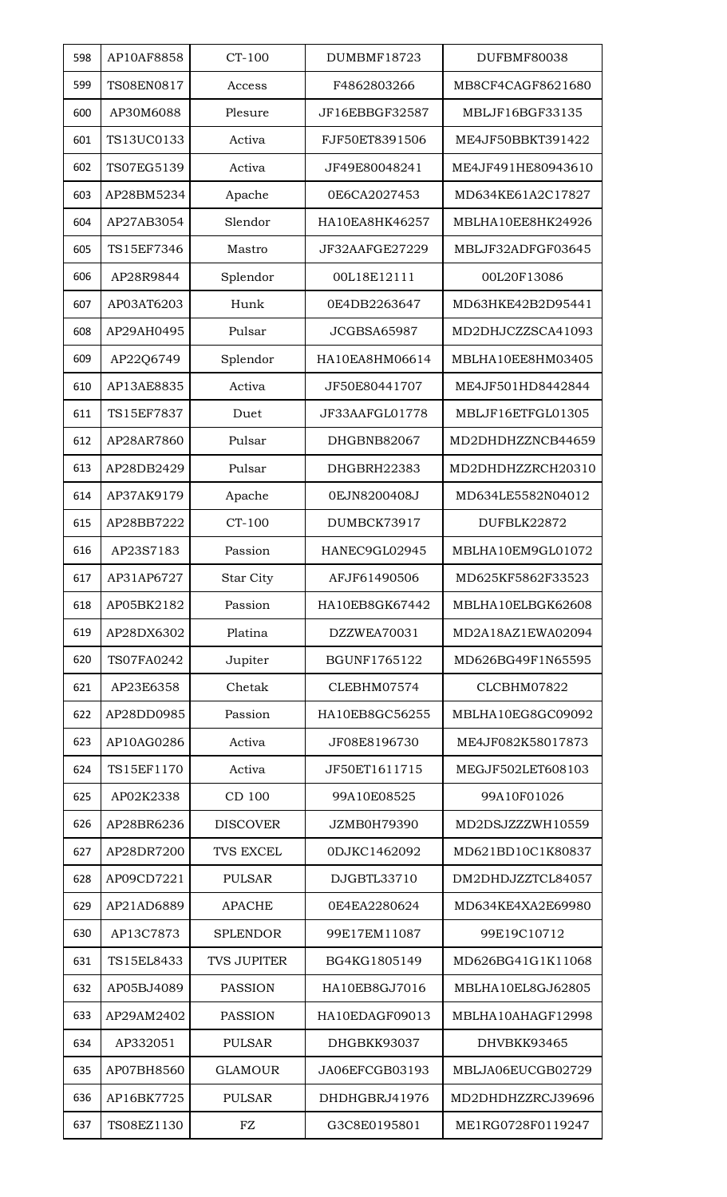| 598 | AP10AF8858        | CT-100             | DUMBMF18723        | DUFBMF80038        |
|-----|-------------------|--------------------|--------------------|--------------------|
| 599 | <b>TS08EN0817</b> | Access             | F4862803266        | MB8CF4CAGF8621680  |
| 600 | AP30M6088         | Plesure            | JF16EBBGF32587     | MBLJF16BGF33135    |
| 601 | TS13UC0133        | Activa             | FJF50ET8391506     | ME4JF50BBKT391422  |
| 602 | TS07EG5139        | Activa             | JF49E80048241      | ME4JF491HE80943610 |
| 603 | AP28BM5234        | Apache             | 0E6CA2027453       | MD634KE61A2C17827  |
| 604 | AP27AB3054        | Slendor            | HA10EA8HK46257     | MBLHA10EE8HK24926  |
| 605 | TS15EF7346        | Mastro             | JF32AAFGE27229     | MBLJF32ADFGF03645  |
| 606 | AP28R9844         | Splendor           | 00L18E12111        | 00L20F13086        |
| 607 | AP03AT6203        | Hunk               | 0E4DB2263647       | MD63HKE42B2D95441  |
| 608 | AP29AH0495        | Pulsar             | JCGBSA65987        | MD2DHJCZZSCA41093  |
| 609 | AP22Q6749         | Splendor           | HA10EA8HM06614     | MBLHA10EE8HM03405  |
| 610 | AP13AE8835        | Activa             | JF50E80441707      | ME4JF501HD8442844  |
| 611 | TS15EF7837        | Duet               | JF33AAFGL01778     | MBLJF16ETFGL01305  |
| 612 | AP28AR7860        | Pulsar             | DHGBNB82067        | MD2DHDHZZNCB44659  |
| 613 | AP28DB2429        | Pulsar             | DHGBRH22383        | MD2DHDHZZRCH20310  |
| 614 | AP37AK9179        | Apache             | 0EJN8200408J       | MD634LE5582N04012  |
| 615 | AP28BB7222        | CT-100             | DUMBCK73917        | DUFBLK22872        |
| 616 | AP23S7183         | Passion            | HANEC9GL02945      | MBLHA10EM9GL01072  |
| 617 | AP31AP6727        | Star City          | AFJF61490506       | MD625KF5862F33523  |
| 618 | AP05BK2182        | Passion            | HA10EB8GK67442     | MBLHA10ELBGK62608  |
| 619 | AP28DX6302        | Platina            | DZZWEA70031        | MD2A18AZ1EWA02094  |
| 620 | TS07FA0242        | Jupiter            | BGUNF1765122       | MD626BG49F1N65595  |
| 621 | AP23E6358         | Chetak             | CLEBHM07574        | CLCBHM07822        |
| 622 | AP28DD0985        | Passion            | HA10EB8GC56255     | MBLHA10EG8GC09092  |
| 623 | AP10AG0286        | Activa             | JF08E8196730       | ME4JF082K58017873  |
| 624 | TS15EF1170        | Activa             | JF50ET1611715      | MEGJF502LET608103  |
| 625 | AP02K2338         | CD 100             | 99A10E08525        | 99A10F01026        |
| 626 | AP28BR6236        | <b>DISCOVER</b>    | <b>JZMB0H79390</b> | MD2DSJZZZWH10559   |
| 627 | AP28DR7200        | <b>TVS EXCEL</b>   | 0DJKC1462092       | MD621BD10C1K80837  |
| 628 | AP09CD7221        | <b>PULSAR</b>      | DJGBTL33710        | DM2DHDJZZTCL84057  |
| 629 | AP21AD6889        | <b>APACHE</b>      | 0E4EA2280624       | MD634KE4XA2E69980  |
| 630 | AP13C7873         | <b>SPLENDOR</b>    | 99E17EM11087       | 99E19C10712        |
| 631 | TS15EL8433        | <b>TVS JUPITER</b> | BG4KG1805149       | MD626BG41G1K11068  |
| 632 | AP05BJ4089        | <b>PASSION</b>     | HA10EB8GJ7016      | MBLHA10EL8GJ62805  |
| 633 | AP29AM2402        | <b>PASSION</b>     | HA10EDAGF09013     | MBLHA10AHAGF12998  |
| 634 | AP332051          | <b>PULSAR</b>      | DHGBKK93037        | DHVBKK93465        |
| 635 | AP07BH8560        | <b>GLAMOUR</b>     | JA06EFCGB03193     | MBLJA06EUCGB02729  |
| 636 | AP16BK7725        | <b>PULSAR</b>      | DHDHGBRJ41976      | MD2DHDHZZRCJ39696  |
| 637 | TS08EZ1130        | FZ                 | G3C8E0195801       | ME1RG0728F0119247  |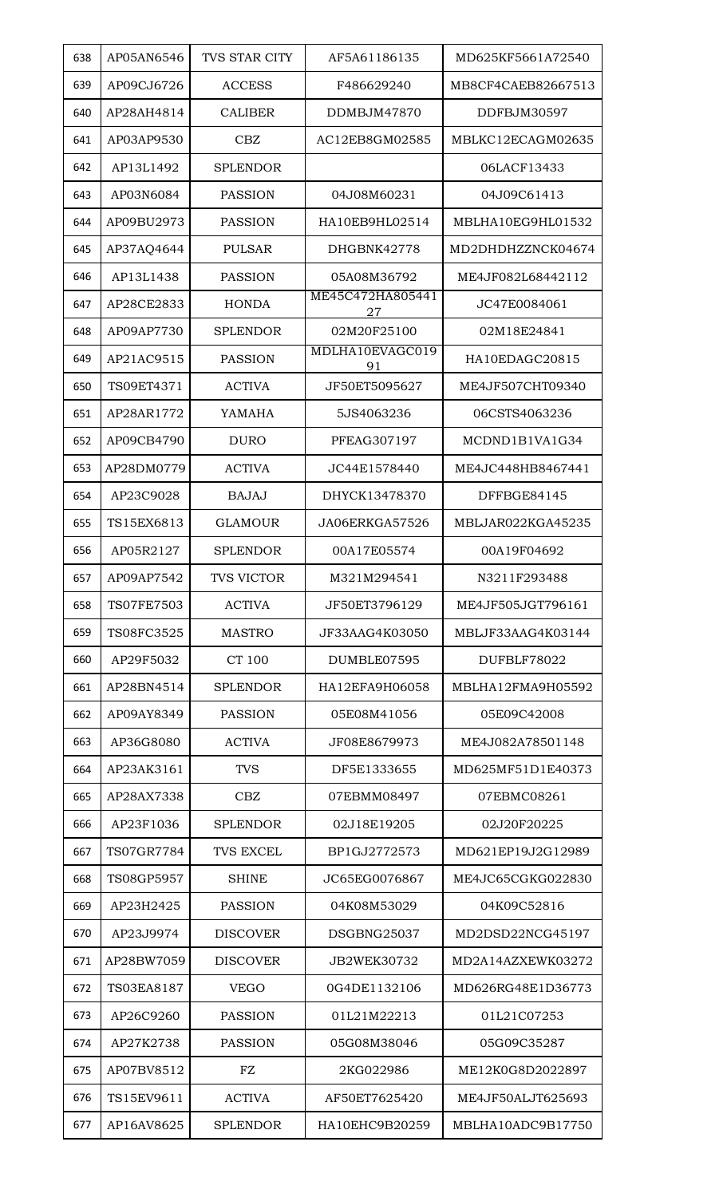| 638 | AP05AN6546        | <b>TVS STAR CITY</b> | AF5A61186135           |                    |
|-----|-------------------|----------------------|------------------------|--------------------|
|     |                   |                      |                        | MD625KF5661A72540  |
| 639 | AP09CJ6726        | <b>ACCESS</b>        | F486629240             | MB8CF4CAEB82667513 |
| 640 | AP28AH4814        | <b>CALIBER</b>       | DDMBJM47870            | DDFBJM30597        |
| 641 | AP03AP9530        | CBZ                  | AC12EB8GM02585         | MBLKC12ECAGM02635  |
| 642 | AP13L1492         | <b>SPLENDOR</b>      |                        | 06LACF13433        |
| 643 | AP03N6084         | <b>PASSION</b>       | 04J08M60231            | 04J09C61413        |
| 644 | AP09BU2973        | PASSION              | HA10EB9HL02514         | MBLHA10EG9HL01532  |
| 645 | AP37AQ4644        | <b>PULSAR</b>        | DHGBNK42778            | MD2DHDHZZNCK04674  |
| 646 | AP13L1438         | <b>PASSION</b>       | 05A08M36792            | ME4JF082L68442112  |
| 647 | AP28CE2833        | <b>HONDA</b>         | ME45C472HA805441<br>27 | JC47E0084061       |
| 648 | AP09AP7730        | <b>SPLENDOR</b>      | 02M20F25100            | 02M18E24841        |
| 649 | AP21AC9515        | <b>PASSION</b>       | MDLHA10EVAGC019<br>91  | HA10EDAGC20815     |
| 650 | TS09ET4371        | <b>ACTIVA</b>        | JF50ET5095627          | ME4JF507CHT09340   |
| 651 | AP28AR1772        | YAMAHA               | 5JS4063236             | 06CSTS4063236      |
| 652 | AP09CB4790        | <b>DURO</b>          | PFEAG307197            | MCDND1B1VA1G34     |
| 653 | AP28DM0779        | <b>ACTIVA</b>        | JC44E1578440           | ME4JC448HB8467441  |
| 654 | AP23C9028         | BAJAJ                | DHYCK13478370          | DFFBGE84145        |
| 655 | TS15EX6813        | <b>GLAMOUR</b>       | JA06ERKGA57526         | MBLJAR022KGA45235  |
| 656 | AP05R2127         | <b>SPLENDOR</b>      | 00A17E05574            | 00A19F04692        |
| 657 | AP09AP7542        | <b>TVS VICTOR</b>    | M321M294541            | N3211F293488       |
| 658 | <b>TS07FE7503</b> | <b>ACTIVA</b>        | JF50ET3796129          | ME4JF505JGT796161  |
| 659 | TS08FC3525        | <b>MASTRO</b>        | JF33AAG4K03050         | MBLJF33AAG4K03144  |
| 660 | AP29F5032         | CT 100               | DUMBLE07595            | DUFBLF78022        |
| 661 | AP28BN4514        | <b>SPLENDOR</b>      | HA12EFA9H06058         | MBLHA12FMA9H05592  |
| 662 | AP09AY8349        | <b>PASSION</b>       | 05E08M41056            | 05E09C42008        |
| 663 | AP36G8080         | <b>ACTIVA</b>        | JF08E8679973           | ME4J082A78501148   |
| 664 | AP23AK3161        | <b>TVS</b>           | DF5E1333655            | MD625MF51D1E40373  |
| 665 | AP28AX7338        | CBZ                  | 07EBMM08497            | 07EBMC08261        |
| 666 | AP23F1036         | <b>SPLENDOR</b>      | 02J18E19205            | 02J20F20225        |
| 667 | TS07GR7784        | <b>TVS EXCEL</b>     | BP1GJ2772573           | MD621EP19J2G12989  |
| 668 | TS08GP5957        | <b>SHINE</b>         | JC65EG0076867          | ME4JC65CGKG022830  |
| 669 | AP23H2425         | <b>PASSION</b>       | 04K08M53029            | 04K09C52816        |
| 670 | AP23J9974         | <b>DISCOVER</b>      | DSGBNG25037            | MD2DSD22NCG45197   |
| 671 | AP28BW7059        | <b>DISCOVER</b>      | JB2WEK30732            | MD2A14AZXEWK03272  |
| 672 | TS03EA8187        | <b>VEGO</b>          | 0G4DE1132106           | MD626RG48E1D36773  |
| 673 | AP26C9260         | <b>PASSION</b>       | 01L21M22213            | 01L21C07253        |
| 674 | AP27K2738         | <b>PASSION</b>       | 05G08M38046            | 05G09C35287        |
| 675 | AP07BV8512        | ${\rm FZ}$           | 2KG022986              | ME12K0G8D2022897   |
| 676 | TS15EV9611        | <b>ACTIVA</b>        | AF50ET7625420          | ME4JF50ALJT625693  |
|     | AP16AV8625        |                      |                        | MBLHA10ADC9B17750  |
| 677 |                   | <b>SPLENDOR</b>      | HA10EHC9B20259         |                    |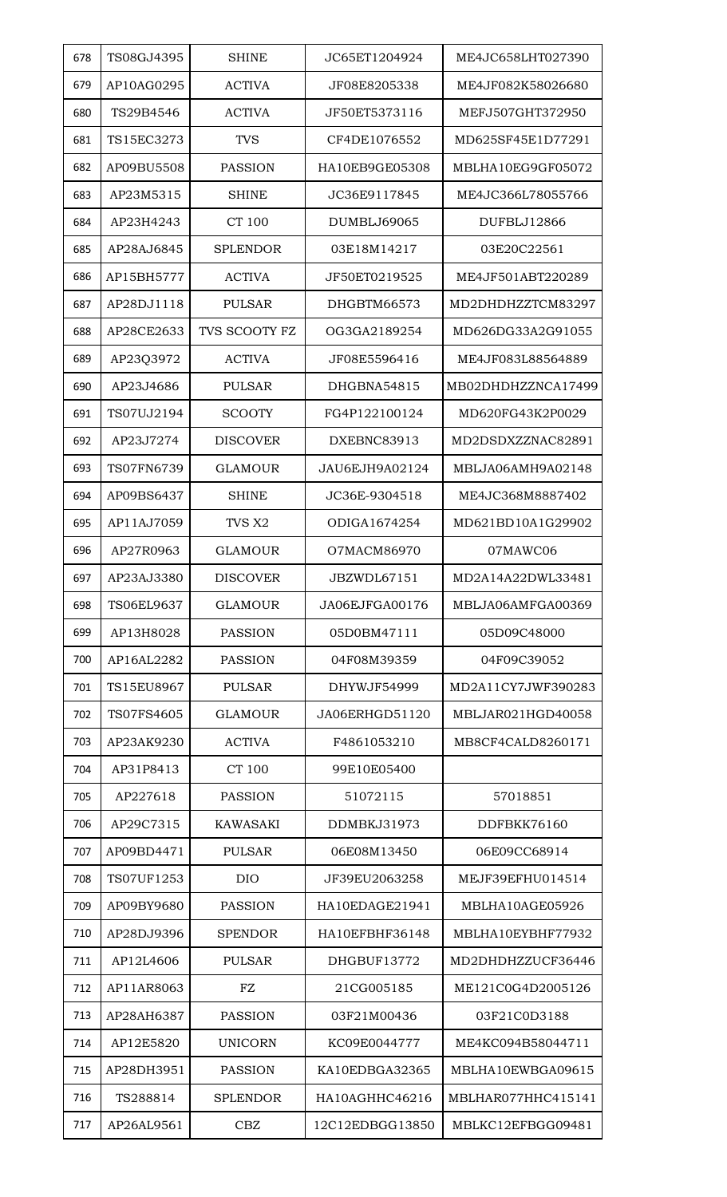| 678<br>TS08GJ4395<br><b>SHINE</b><br>JC65ET1204924<br>ME4JC658LHT027390<br>679<br>AP10AG0295<br><b>ACTIVA</b><br>JF08E8205338<br>ME4JF082K58026680<br>TS29B4546<br><b>ACTIVA</b><br>JF50ET5373116<br>MEFJ507GHT372950<br>680<br>681<br>TS15EC3273<br><b>TVS</b><br>CF4DE1076552<br>MD625SF45E1D77291<br>AP09BU5508<br><b>PASSION</b><br>HA10EB9GE05308<br>MBLHA10EG9GF05072<br>682<br>AP23M5315<br>683<br><b>SHINE</b><br>JC36E9117845<br>ME4JC366L78055766<br><b>CT 100</b><br>AP23H4243<br><b>DUMBLJ69065</b><br>DUFBLJ12866<br>684<br>685<br>AP28AJ6845<br><b>SPLENDOR</b><br>03E18M14217<br>03E20C22561<br>AP15BH5777<br><b>ACTIVA</b><br>JF50ET0219525<br>ME4JF501ABT220289<br>686<br>687<br>AP28DJ1118<br>DHGBTM66573<br>MD2DHDHZZTCM83297<br><b>PULSAR</b><br>AP28CE2633<br>TVS SCOOTY FZ<br>688<br>OG3GA2189254<br>MD626DG33A2G91055<br>AP23Q3972<br><b>ACTIVA</b><br>689<br>JF08E5596416<br>ME4JF083L88564889<br>690<br>AP23J4686<br><b>PULSAR</b><br>DHGBNA54815<br>TS07UJ2194<br>FG4P122100124<br>MD620FG43K2P0029<br>691<br><b>SCOOTY</b><br>692<br>AP23J7274<br><b>DISCOVER</b><br>DXEBNC83913<br>MD2DSDXZZNAC82891<br>TS07FN6739<br>MBLJA06AMH9A02148<br>693<br><b>GLAMOUR</b><br>JAU6EJH9A02124<br>AP09BS6437<br>694<br><b>SHINE</b><br>JC36E-9304518<br>ME4JC368M8887402<br>AP11AJ7059<br>ODIGA1674254<br>MD621BD10A1G29902<br>695<br>TVS X2<br>AP27R0963<br>696<br><b>GLAMOUR</b><br>O7MACM86970<br>07MAWC06<br>AP23AJ3380<br>697<br><b>DISCOVER</b><br>JBZWDL67151<br>MD2A14A22DWL33481<br>TS06EL9637<br>698<br><b>GLAMOUR</b><br>JA06EJFGA00176<br>MBLJA06AMFGA00369<br>699<br>AP13H8028<br><b>PASSION</b><br>05D0BM47111<br>05D09C48000<br>700<br>AP16AL2282<br><b>PASSION</b><br>04F08M39359<br>04F09C39052<br>TS15EU8967<br>701<br><b>PULSAR</b><br>DHYWJF54999<br>MD2A11CY7JWF390283<br>TS07FS4605<br><b>GLAMOUR</b><br>JA06ERHGD51120<br>MBLJAR021HGD40058<br>702<br>AP23AK9230<br><b>ACTIVA</b><br>703<br>F4861053210<br>MB8CF4CALD8260171<br><b>CT 100</b><br>704<br>AP31P8413<br>99E10E05400<br>51072115<br>705<br>AP227618<br><b>PASSION</b><br>57018851<br>AP29C7315<br><b>KAWASAKI</b><br>DDMBKJ31973<br>DDFBKK76160<br>706<br>707<br>AP09BD4471<br><b>PULSAR</b><br>06E08M13450<br>06E09CC68914<br>TS07UF1253<br><b>DIO</b><br>JF39EU2063258<br>MEJF39EFHU014514<br>708<br>AP09BY9680<br>709<br><b>PASSION</b><br>HA10EDAGE21941<br>MBLHA10AGE05926<br>710<br>AP28DJ9396<br><b>SPENDOR</b><br>HA10EFBHF36148<br>MBLHA10EYBHF77932<br>711<br>AP12L4606<br><b>PULSAR</b><br>DHGBUF13772<br>MD2DHDHZZUCF36446<br>${\rm FZ}$<br>712<br>AP11AR8063<br>21CG005185<br>ME121C0G4D2005126<br>AP28AH6387<br><b>PASSION</b><br>03F21C0D3188<br>713<br>03F21M00436<br>AP12E5820<br><b>UNICORN</b><br>KC09E0044777<br>ME4KC094B58044711<br>714<br>AP28DH3951<br><b>PASSION</b><br>KA10EDBGA32365<br>MBLHA10EWBGA09615<br>715<br>HA10AGHHC46216<br>MBLHAR077HHC415141<br>716<br>TS288814<br><b>SPLENDOR</b><br>AP26AL9561<br><b>CBZ</b><br>12C12EDBGG13850<br>MBLKC12EFBGG09481<br>717 |  |  |                    |
|---------------------------------------------------------------------------------------------------------------------------------------------------------------------------------------------------------------------------------------------------------------------------------------------------------------------------------------------------------------------------------------------------------------------------------------------------------------------------------------------------------------------------------------------------------------------------------------------------------------------------------------------------------------------------------------------------------------------------------------------------------------------------------------------------------------------------------------------------------------------------------------------------------------------------------------------------------------------------------------------------------------------------------------------------------------------------------------------------------------------------------------------------------------------------------------------------------------------------------------------------------------------------------------------------------------------------------------------------------------------------------------------------------------------------------------------------------------------------------------------------------------------------------------------------------------------------------------------------------------------------------------------------------------------------------------------------------------------------------------------------------------------------------------------------------------------------------------------------------------------------------------------------------------------------------------------------------------------------------------------------------------------------------------------------------------------------------------------------------------------------------------------------------------------------------------------------------------------------------------------------------------------------------------------------------------------------------------------------------------------------------------------------------------------------------------------------------------------------------------------------------------------------------------------------------------------------------------------------------------------------------------------------------------------------------------------------------------------------------------------------------------------------------------------------------------------------------------------------------------------------------------------------------------------------------------------------------------------------------------------------------|--|--|--------------------|
|                                                                                                                                                                                                                                                                                                                                                                                                                                                                                                                                                                                                                                                                                                                                                                                                                                                                                                                                                                                                                                                                                                                                                                                                                                                                                                                                                                                                                                                                                                                                                                                                                                                                                                                                                                                                                                                                                                                                                                                                                                                                                                                                                                                                                                                                                                                                                                                                                                                                                                                                                                                                                                                                                                                                                                                                                                                                                                                                                                                                         |  |  |                    |
|                                                                                                                                                                                                                                                                                                                                                                                                                                                                                                                                                                                                                                                                                                                                                                                                                                                                                                                                                                                                                                                                                                                                                                                                                                                                                                                                                                                                                                                                                                                                                                                                                                                                                                                                                                                                                                                                                                                                                                                                                                                                                                                                                                                                                                                                                                                                                                                                                                                                                                                                                                                                                                                                                                                                                                                                                                                                                                                                                                                                         |  |  |                    |
|                                                                                                                                                                                                                                                                                                                                                                                                                                                                                                                                                                                                                                                                                                                                                                                                                                                                                                                                                                                                                                                                                                                                                                                                                                                                                                                                                                                                                                                                                                                                                                                                                                                                                                                                                                                                                                                                                                                                                                                                                                                                                                                                                                                                                                                                                                                                                                                                                                                                                                                                                                                                                                                                                                                                                                                                                                                                                                                                                                                                         |  |  |                    |
|                                                                                                                                                                                                                                                                                                                                                                                                                                                                                                                                                                                                                                                                                                                                                                                                                                                                                                                                                                                                                                                                                                                                                                                                                                                                                                                                                                                                                                                                                                                                                                                                                                                                                                                                                                                                                                                                                                                                                                                                                                                                                                                                                                                                                                                                                                                                                                                                                                                                                                                                                                                                                                                                                                                                                                                                                                                                                                                                                                                                         |  |  |                    |
|                                                                                                                                                                                                                                                                                                                                                                                                                                                                                                                                                                                                                                                                                                                                                                                                                                                                                                                                                                                                                                                                                                                                                                                                                                                                                                                                                                                                                                                                                                                                                                                                                                                                                                                                                                                                                                                                                                                                                                                                                                                                                                                                                                                                                                                                                                                                                                                                                                                                                                                                                                                                                                                                                                                                                                                                                                                                                                                                                                                                         |  |  |                    |
|                                                                                                                                                                                                                                                                                                                                                                                                                                                                                                                                                                                                                                                                                                                                                                                                                                                                                                                                                                                                                                                                                                                                                                                                                                                                                                                                                                                                                                                                                                                                                                                                                                                                                                                                                                                                                                                                                                                                                                                                                                                                                                                                                                                                                                                                                                                                                                                                                                                                                                                                                                                                                                                                                                                                                                                                                                                                                                                                                                                                         |  |  |                    |
|                                                                                                                                                                                                                                                                                                                                                                                                                                                                                                                                                                                                                                                                                                                                                                                                                                                                                                                                                                                                                                                                                                                                                                                                                                                                                                                                                                                                                                                                                                                                                                                                                                                                                                                                                                                                                                                                                                                                                                                                                                                                                                                                                                                                                                                                                                                                                                                                                                                                                                                                                                                                                                                                                                                                                                                                                                                                                                                                                                                                         |  |  |                    |
|                                                                                                                                                                                                                                                                                                                                                                                                                                                                                                                                                                                                                                                                                                                                                                                                                                                                                                                                                                                                                                                                                                                                                                                                                                                                                                                                                                                                                                                                                                                                                                                                                                                                                                                                                                                                                                                                                                                                                                                                                                                                                                                                                                                                                                                                                                                                                                                                                                                                                                                                                                                                                                                                                                                                                                                                                                                                                                                                                                                                         |  |  |                    |
|                                                                                                                                                                                                                                                                                                                                                                                                                                                                                                                                                                                                                                                                                                                                                                                                                                                                                                                                                                                                                                                                                                                                                                                                                                                                                                                                                                                                                                                                                                                                                                                                                                                                                                                                                                                                                                                                                                                                                                                                                                                                                                                                                                                                                                                                                                                                                                                                                                                                                                                                                                                                                                                                                                                                                                                                                                                                                                                                                                                                         |  |  |                    |
|                                                                                                                                                                                                                                                                                                                                                                                                                                                                                                                                                                                                                                                                                                                                                                                                                                                                                                                                                                                                                                                                                                                                                                                                                                                                                                                                                                                                                                                                                                                                                                                                                                                                                                                                                                                                                                                                                                                                                                                                                                                                                                                                                                                                                                                                                                                                                                                                                                                                                                                                                                                                                                                                                                                                                                                                                                                                                                                                                                                                         |  |  |                    |
|                                                                                                                                                                                                                                                                                                                                                                                                                                                                                                                                                                                                                                                                                                                                                                                                                                                                                                                                                                                                                                                                                                                                                                                                                                                                                                                                                                                                                                                                                                                                                                                                                                                                                                                                                                                                                                                                                                                                                                                                                                                                                                                                                                                                                                                                                                                                                                                                                                                                                                                                                                                                                                                                                                                                                                                                                                                                                                                                                                                                         |  |  |                    |
|                                                                                                                                                                                                                                                                                                                                                                                                                                                                                                                                                                                                                                                                                                                                                                                                                                                                                                                                                                                                                                                                                                                                                                                                                                                                                                                                                                                                                                                                                                                                                                                                                                                                                                                                                                                                                                                                                                                                                                                                                                                                                                                                                                                                                                                                                                                                                                                                                                                                                                                                                                                                                                                                                                                                                                                                                                                                                                                                                                                                         |  |  |                    |
|                                                                                                                                                                                                                                                                                                                                                                                                                                                                                                                                                                                                                                                                                                                                                                                                                                                                                                                                                                                                                                                                                                                                                                                                                                                                                                                                                                                                                                                                                                                                                                                                                                                                                                                                                                                                                                                                                                                                                                                                                                                                                                                                                                                                                                                                                                                                                                                                                                                                                                                                                                                                                                                                                                                                                                                                                                                                                                                                                                                                         |  |  | MB02DHDHZZNCA17499 |
|                                                                                                                                                                                                                                                                                                                                                                                                                                                                                                                                                                                                                                                                                                                                                                                                                                                                                                                                                                                                                                                                                                                                                                                                                                                                                                                                                                                                                                                                                                                                                                                                                                                                                                                                                                                                                                                                                                                                                                                                                                                                                                                                                                                                                                                                                                                                                                                                                                                                                                                                                                                                                                                                                                                                                                                                                                                                                                                                                                                                         |  |  |                    |
|                                                                                                                                                                                                                                                                                                                                                                                                                                                                                                                                                                                                                                                                                                                                                                                                                                                                                                                                                                                                                                                                                                                                                                                                                                                                                                                                                                                                                                                                                                                                                                                                                                                                                                                                                                                                                                                                                                                                                                                                                                                                                                                                                                                                                                                                                                                                                                                                                                                                                                                                                                                                                                                                                                                                                                                                                                                                                                                                                                                                         |  |  |                    |
|                                                                                                                                                                                                                                                                                                                                                                                                                                                                                                                                                                                                                                                                                                                                                                                                                                                                                                                                                                                                                                                                                                                                                                                                                                                                                                                                                                                                                                                                                                                                                                                                                                                                                                                                                                                                                                                                                                                                                                                                                                                                                                                                                                                                                                                                                                                                                                                                                                                                                                                                                                                                                                                                                                                                                                                                                                                                                                                                                                                                         |  |  |                    |
|                                                                                                                                                                                                                                                                                                                                                                                                                                                                                                                                                                                                                                                                                                                                                                                                                                                                                                                                                                                                                                                                                                                                                                                                                                                                                                                                                                                                                                                                                                                                                                                                                                                                                                                                                                                                                                                                                                                                                                                                                                                                                                                                                                                                                                                                                                                                                                                                                                                                                                                                                                                                                                                                                                                                                                                                                                                                                                                                                                                                         |  |  |                    |
|                                                                                                                                                                                                                                                                                                                                                                                                                                                                                                                                                                                                                                                                                                                                                                                                                                                                                                                                                                                                                                                                                                                                                                                                                                                                                                                                                                                                                                                                                                                                                                                                                                                                                                                                                                                                                                                                                                                                                                                                                                                                                                                                                                                                                                                                                                                                                                                                                                                                                                                                                                                                                                                                                                                                                                                                                                                                                                                                                                                                         |  |  |                    |
|                                                                                                                                                                                                                                                                                                                                                                                                                                                                                                                                                                                                                                                                                                                                                                                                                                                                                                                                                                                                                                                                                                                                                                                                                                                                                                                                                                                                                                                                                                                                                                                                                                                                                                                                                                                                                                                                                                                                                                                                                                                                                                                                                                                                                                                                                                                                                                                                                                                                                                                                                                                                                                                                                                                                                                                                                                                                                                                                                                                                         |  |  |                    |
|                                                                                                                                                                                                                                                                                                                                                                                                                                                                                                                                                                                                                                                                                                                                                                                                                                                                                                                                                                                                                                                                                                                                                                                                                                                                                                                                                                                                                                                                                                                                                                                                                                                                                                                                                                                                                                                                                                                                                                                                                                                                                                                                                                                                                                                                                                                                                                                                                                                                                                                                                                                                                                                                                                                                                                                                                                                                                                                                                                                                         |  |  |                    |
|                                                                                                                                                                                                                                                                                                                                                                                                                                                                                                                                                                                                                                                                                                                                                                                                                                                                                                                                                                                                                                                                                                                                                                                                                                                                                                                                                                                                                                                                                                                                                                                                                                                                                                                                                                                                                                                                                                                                                                                                                                                                                                                                                                                                                                                                                                                                                                                                                                                                                                                                                                                                                                                                                                                                                                                                                                                                                                                                                                                                         |  |  |                    |
|                                                                                                                                                                                                                                                                                                                                                                                                                                                                                                                                                                                                                                                                                                                                                                                                                                                                                                                                                                                                                                                                                                                                                                                                                                                                                                                                                                                                                                                                                                                                                                                                                                                                                                                                                                                                                                                                                                                                                                                                                                                                                                                                                                                                                                                                                                                                                                                                                                                                                                                                                                                                                                                                                                                                                                                                                                                                                                                                                                                                         |  |  |                    |
|                                                                                                                                                                                                                                                                                                                                                                                                                                                                                                                                                                                                                                                                                                                                                                                                                                                                                                                                                                                                                                                                                                                                                                                                                                                                                                                                                                                                                                                                                                                                                                                                                                                                                                                                                                                                                                                                                                                                                                                                                                                                                                                                                                                                                                                                                                                                                                                                                                                                                                                                                                                                                                                                                                                                                                                                                                                                                                                                                                                                         |  |  |                    |
|                                                                                                                                                                                                                                                                                                                                                                                                                                                                                                                                                                                                                                                                                                                                                                                                                                                                                                                                                                                                                                                                                                                                                                                                                                                                                                                                                                                                                                                                                                                                                                                                                                                                                                                                                                                                                                                                                                                                                                                                                                                                                                                                                                                                                                                                                                                                                                                                                                                                                                                                                                                                                                                                                                                                                                                                                                                                                                                                                                                                         |  |  |                    |
|                                                                                                                                                                                                                                                                                                                                                                                                                                                                                                                                                                                                                                                                                                                                                                                                                                                                                                                                                                                                                                                                                                                                                                                                                                                                                                                                                                                                                                                                                                                                                                                                                                                                                                                                                                                                                                                                                                                                                                                                                                                                                                                                                                                                                                                                                                                                                                                                                                                                                                                                                                                                                                                                                                                                                                                                                                                                                                                                                                                                         |  |  |                    |
|                                                                                                                                                                                                                                                                                                                                                                                                                                                                                                                                                                                                                                                                                                                                                                                                                                                                                                                                                                                                                                                                                                                                                                                                                                                                                                                                                                                                                                                                                                                                                                                                                                                                                                                                                                                                                                                                                                                                                                                                                                                                                                                                                                                                                                                                                                                                                                                                                                                                                                                                                                                                                                                                                                                                                                                                                                                                                                                                                                                                         |  |  |                    |
|                                                                                                                                                                                                                                                                                                                                                                                                                                                                                                                                                                                                                                                                                                                                                                                                                                                                                                                                                                                                                                                                                                                                                                                                                                                                                                                                                                                                                                                                                                                                                                                                                                                                                                                                                                                                                                                                                                                                                                                                                                                                                                                                                                                                                                                                                                                                                                                                                                                                                                                                                                                                                                                                                                                                                                                                                                                                                                                                                                                                         |  |  |                    |
|                                                                                                                                                                                                                                                                                                                                                                                                                                                                                                                                                                                                                                                                                                                                                                                                                                                                                                                                                                                                                                                                                                                                                                                                                                                                                                                                                                                                                                                                                                                                                                                                                                                                                                                                                                                                                                                                                                                                                                                                                                                                                                                                                                                                                                                                                                                                                                                                                                                                                                                                                                                                                                                                                                                                                                                                                                                                                                                                                                                                         |  |  |                    |
|                                                                                                                                                                                                                                                                                                                                                                                                                                                                                                                                                                                                                                                                                                                                                                                                                                                                                                                                                                                                                                                                                                                                                                                                                                                                                                                                                                                                                                                                                                                                                                                                                                                                                                                                                                                                                                                                                                                                                                                                                                                                                                                                                                                                                                                                                                                                                                                                                                                                                                                                                                                                                                                                                                                                                                                                                                                                                                                                                                                                         |  |  |                    |
|                                                                                                                                                                                                                                                                                                                                                                                                                                                                                                                                                                                                                                                                                                                                                                                                                                                                                                                                                                                                                                                                                                                                                                                                                                                                                                                                                                                                                                                                                                                                                                                                                                                                                                                                                                                                                                                                                                                                                                                                                                                                                                                                                                                                                                                                                                                                                                                                                                                                                                                                                                                                                                                                                                                                                                                                                                                                                                                                                                                                         |  |  |                    |
|                                                                                                                                                                                                                                                                                                                                                                                                                                                                                                                                                                                                                                                                                                                                                                                                                                                                                                                                                                                                                                                                                                                                                                                                                                                                                                                                                                                                                                                                                                                                                                                                                                                                                                                                                                                                                                                                                                                                                                                                                                                                                                                                                                                                                                                                                                                                                                                                                                                                                                                                                                                                                                                                                                                                                                                                                                                                                                                                                                                                         |  |  |                    |
|                                                                                                                                                                                                                                                                                                                                                                                                                                                                                                                                                                                                                                                                                                                                                                                                                                                                                                                                                                                                                                                                                                                                                                                                                                                                                                                                                                                                                                                                                                                                                                                                                                                                                                                                                                                                                                                                                                                                                                                                                                                                                                                                                                                                                                                                                                                                                                                                                                                                                                                                                                                                                                                                                                                                                                                                                                                                                                                                                                                                         |  |  |                    |
|                                                                                                                                                                                                                                                                                                                                                                                                                                                                                                                                                                                                                                                                                                                                                                                                                                                                                                                                                                                                                                                                                                                                                                                                                                                                                                                                                                                                                                                                                                                                                                                                                                                                                                                                                                                                                                                                                                                                                                                                                                                                                                                                                                                                                                                                                                                                                                                                                                                                                                                                                                                                                                                                                                                                                                                                                                                                                                                                                                                                         |  |  |                    |
|                                                                                                                                                                                                                                                                                                                                                                                                                                                                                                                                                                                                                                                                                                                                                                                                                                                                                                                                                                                                                                                                                                                                                                                                                                                                                                                                                                                                                                                                                                                                                                                                                                                                                                                                                                                                                                                                                                                                                                                                                                                                                                                                                                                                                                                                                                                                                                                                                                                                                                                                                                                                                                                                                                                                                                                                                                                                                                                                                                                                         |  |  |                    |
|                                                                                                                                                                                                                                                                                                                                                                                                                                                                                                                                                                                                                                                                                                                                                                                                                                                                                                                                                                                                                                                                                                                                                                                                                                                                                                                                                                                                                                                                                                                                                                                                                                                                                                                                                                                                                                                                                                                                                                                                                                                                                                                                                                                                                                                                                                                                                                                                                                                                                                                                                                                                                                                                                                                                                                                                                                                                                                                                                                                                         |  |  |                    |
|                                                                                                                                                                                                                                                                                                                                                                                                                                                                                                                                                                                                                                                                                                                                                                                                                                                                                                                                                                                                                                                                                                                                                                                                                                                                                                                                                                                                                                                                                                                                                                                                                                                                                                                                                                                                                                                                                                                                                                                                                                                                                                                                                                                                                                                                                                                                                                                                                                                                                                                                                                                                                                                                                                                                                                                                                                                                                                                                                                                                         |  |  |                    |
|                                                                                                                                                                                                                                                                                                                                                                                                                                                                                                                                                                                                                                                                                                                                                                                                                                                                                                                                                                                                                                                                                                                                                                                                                                                                                                                                                                                                                                                                                                                                                                                                                                                                                                                                                                                                                                                                                                                                                                                                                                                                                                                                                                                                                                                                                                                                                                                                                                                                                                                                                                                                                                                                                                                                                                                                                                                                                                                                                                                                         |  |  |                    |
|                                                                                                                                                                                                                                                                                                                                                                                                                                                                                                                                                                                                                                                                                                                                                                                                                                                                                                                                                                                                                                                                                                                                                                                                                                                                                                                                                                                                                                                                                                                                                                                                                                                                                                                                                                                                                                                                                                                                                                                                                                                                                                                                                                                                                                                                                                                                                                                                                                                                                                                                                                                                                                                                                                                                                                                                                                                                                                                                                                                                         |  |  |                    |
|                                                                                                                                                                                                                                                                                                                                                                                                                                                                                                                                                                                                                                                                                                                                                                                                                                                                                                                                                                                                                                                                                                                                                                                                                                                                                                                                                                                                                                                                                                                                                                                                                                                                                                                                                                                                                                                                                                                                                                                                                                                                                                                                                                                                                                                                                                                                                                                                                                                                                                                                                                                                                                                                                                                                                                                                                                                                                                                                                                                                         |  |  |                    |
|                                                                                                                                                                                                                                                                                                                                                                                                                                                                                                                                                                                                                                                                                                                                                                                                                                                                                                                                                                                                                                                                                                                                                                                                                                                                                                                                                                                                                                                                                                                                                                                                                                                                                                                                                                                                                                                                                                                                                                                                                                                                                                                                                                                                                                                                                                                                                                                                                                                                                                                                                                                                                                                                                                                                                                                                                                                                                                                                                                                                         |  |  |                    |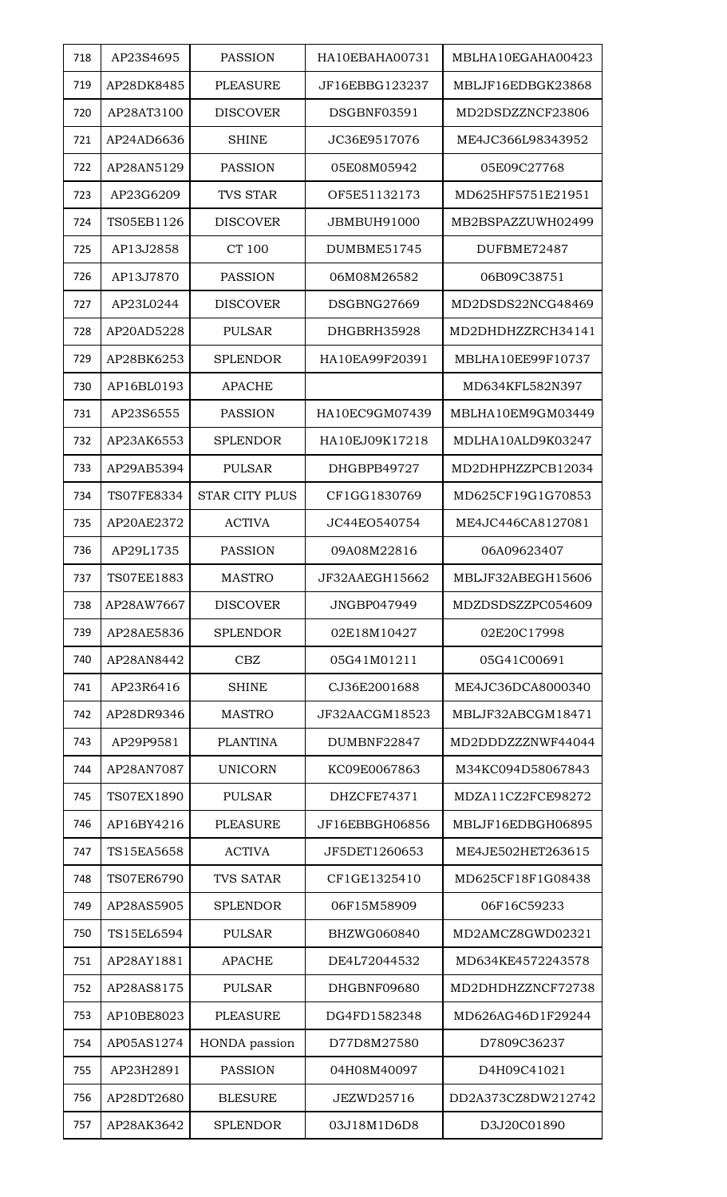| 718 | AP23S4695  | <b>PASSION</b>        | HA10EBAHA00731 | MBLHA10EGAHA00423  |
|-----|------------|-----------------------|----------------|--------------------|
| 719 | AP28DK8485 | <b>PLEASURE</b>       | JF16EBBG123237 | MBLJF16EDBGK23868  |
| 720 | AP28AT3100 | <b>DISCOVER</b>       | DSGBNF03591    | MD2DSDZZNCF23806   |
| 721 | AP24AD6636 | SHINE                 | JC36E9517076   | ME4JC366L98343952  |
| 722 | AP28AN5129 | <b>PASSION</b>        | 05E08M05942    | 05E09C27768        |
| 723 | AP23G6209  | <b>TVS STAR</b>       | OF5E51132173   | MD625HF5751E21951  |
| 724 | TS05EB1126 | <b>DISCOVER</b>       | JBMBUH91000    | MB2BSPAZZUWH02499  |
| 725 | AP13J2858  | CT 100                | DUMBME51745    | DUFBME72487        |
| 726 | AP13J7870  | <b>PASSION</b>        | 06M08M26582    | 06B09C38751        |
| 727 | AP23L0244  | <b>DISCOVER</b>       | DSGBNG27669    | MD2DSDS22NCG48469  |
| 728 | AP20AD5228 | <b>PULSAR</b>         | DHGBRH35928    | MD2DHDHZZRCH34141  |
| 729 | AP28BK6253 | <b>SPLENDOR</b>       | HA10EA99F20391 | MBLHA10EE99F10737  |
| 730 | AP16BL0193 | <b>APACHE</b>         |                | MD634KFL582N397    |
| 731 | AP23S6555  | <b>PASSION</b>        | HA10EC9GM07439 | MBLHA10EM9GM03449  |
| 732 | AP23AK6553 | <b>SPLENDOR</b>       | HA10EJ09K17218 | MDLHA10ALD9K03247  |
| 733 | AP29AB5394 | <b>PULSAR</b>         | DHGBPB49727    | MD2DHPHZZPCB12034  |
| 734 | TS07FE8334 | <b>STAR CITY PLUS</b> | CF1GG1830769   | MD625CF19G1G70853  |
| 735 | AP20AE2372 | <b>ACTIVA</b>         | JC44EO540754   | ME4JC446CA8127081  |
| 736 | AP29L1735  | <b>PASSION</b>        | 09A08M22816    | 06A09623407        |
| 737 | TS07EE1883 | <b>MASTRO</b>         | JF32AAEGH15662 | MBLJF32ABEGH15606  |
| 738 | AP28AW7667 | <b>DISCOVER</b>       | JNGBP047949    | MDZDSDSZZPC054609  |
| 739 | AP28AE5836 | <b>SPLENDOR</b>       | 02E18M10427    | 02E20C17998        |
| 740 | AP28AN8442 | <b>CBZ</b>            | 05G41M01211    | 05G41C00691        |
| 741 | AP23R6416  | <b>SHINE</b>          | CJ36E2001688   | ME4JC36DCA8000340  |
| 742 | AP28DR9346 | <b>MASTRO</b>         | JF32AACGM18523 | MBLJF32ABCGM18471  |
| 743 | AP29P9581  | <b>PLANTINA</b>       | DUMBNF22847    | MD2DDDZZZNWF44044  |
| 744 | AP28AN7087 | <b>UNICORN</b>        | KC09E0067863   | M34KC094D58067843  |
| 745 | TS07EX1890 | <b>PULSAR</b>         | DHZCFE74371    | MDZA11CZ2FCE98272  |
| 746 | AP16BY4216 | <b>PLEASURE</b>       | JF16EBBGH06856 | MBLJF16EDBGH06895  |
| 747 | TS15EA5658 | <b>ACTIVA</b>         | JF5DET1260653  | ME4JE502HET263615  |
| 748 | TS07ER6790 | <b>TVS SATAR</b>      | CF1GE1325410   | MD625CF18F1G08438  |
| 749 | AP28AS5905 | <b>SPLENDOR</b>       | 06F15M58909    | 06F16C59233        |
| 750 | TS15EL6594 | <b>PULSAR</b>         | BHZWG060840    | MD2AMCZ8GWD02321   |
| 751 | AP28AY1881 | <b>APACHE</b>         | DE4L72044532   | MD634KE4572243578  |
| 752 | AP28AS8175 | <b>PULSAR</b>         | DHGBNF09680    | MD2DHDHZZNCF72738  |
| 753 | AP10BE8023 | <b>PLEASURE</b>       | DG4FD1582348   | MD626AG46D1F29244  |
| 754 | AP05AS1274 | HONDA passion         | D77D8M27580    | D7809C36237        |
| 755 | AP23H2891  | <b>PASSION</b>        | 04H08M40097    | D4H09C41021        |
| 756 | AP28DT2680 | <b>BLESURE</b>        | JEZWD25716     | DD2A373CZ8DW212742 |
| 757 | AP28AK3642 | <b>SPLENDOR</b>       | 03J18M1D6D8    | D3J20C01890        |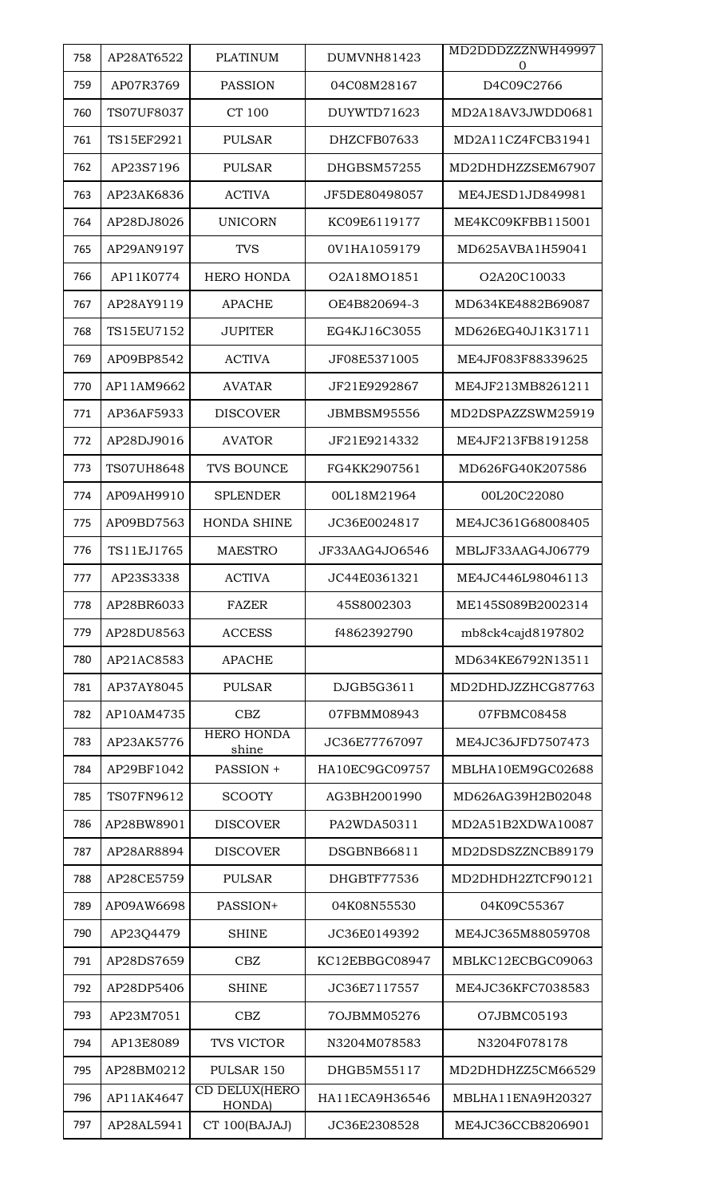| 758 | AP28AT6522 | <b>PLATINUM</b>                 | DUMVNH81423    | MD2DDDZZZNWH49997<br>Ω |
|-----|------------|---------------------------------|----------------|------------------------|
| 759 | AP07R3769  | <b>PASSION</b>                  | 04C08M28167    | D4C09C2766             |
| 760 | TS07UF8037 | CT 100                          | DUYWTD71623    | MD2A18AV3JWDD0681      |
| 761 | TS15EF2921 | <b>PULSAR</b>                   | DHZCFB07633    | MD2A11CZ4FCB31941      |
| 762 | AP23S7196  | <b>PULSAR</b>                   | DHGBSM57255    | MD2DHDHZZSEM67907      |
| 763 | AP23AK6836 | <b>ACTIVA</b>                   | JF5DE80498057  | ME4JESD1JD849981       |
| 764 | AP28DJ8026 | <b>UNICORN</b>                  | KC09E6119177   | ME4KC09KFBB115001      |
| 765 | AP29AN9197 | <b>TVS</b>                      | 0V1HA1059179   | MD625AVBA1H59041       |
| 766 | AP11K0774  | <b>HERO HONDA</b>               | O2A18MO1851    | O2A20C10033            |
| 767 | AP28AY9119 | <b>APACHE</b>                   | OE4B820694-3   | MD634KE4882B69087      |
| 768 | TS15EU7152 | <b>JUPITER</b>                  | EG4KJ16C3055   | MD626EG40J1K31711      |
| 769 | AP09BP8542 | <b>ACTIVA</b>                   | JF08E5371005   | ME4JF083F88339625      |
| 770 | AP11AM9662 | <b>AVATAR</b>                   | JF21E9292867   | ME4JF213MB8261211      |
| 771 | AP36AF5933 | <b>DISCOVER</b>                 | JBMBSM95556    | MD2DSPAZZSWM25919      |
| 772 | AP28DJ9016 | <b>AVATOR</b>                   | JF21E9214332   | ME4JF213FB8191258      |
| 773 | TS07UH8648 | <b>TVS BOUNCE</b>               | FG4KK2907561   | MD626FG40K207586       |
| 774 | AP09AH9910 | <b>SPLENDER</b>                 | 00L18M21964    | 00L20C22080            |
| 775 | AP09BD7563 | <b>HONDA SHINE</b>              | JC36E0024817   | ME4JC361G68008405      |
| 776 | TS11EJ1765 | <b>MAESTRO</b>                  | JF33AAG4JO6546 | MBLJF33AAG4J06779      |
| 777 | AP23S3338  | <b>ACTIVA</b>                   | JC44E0361321   | ME4JC446L98046113      |
| 778 | AP28BR6033 | <b>FAZER</b>                    | 45S8002303     | ME145S089B2002314      |
| 779 | AP28DU8563 | <b>ACCESS</b>                   | f4862392790    | mb8ck4cajd8197802      |
| 780 | AP21AC8583 | <b>APACHE</b>                   |                | MD634KE6792N13511      |
| 781 | AP37AY8045 | <b>PULSAR</b>                   | DJGB5G3611     | MD2DHDJZZHCG87763      |
| 782 | AP10AM4735 | CBZ                             | 07FBMM08943    | 07FBMC08458            |
| 783 | AP23AK5776 | <b>HERO HONDA</b><br>shine      | JC36E77767097  | ME4JC36JFD7507473      |
| 784 | AP29BF1042 | PASSION +                       | HA10EC9GC09757 | MBLHA10EM9GC02688      |
| 785 | TS07FN9612 | <b>SCOOTY</b>                   | AG3BH2001990   | MD626AG39H2B02048      |
| 786 | AP28BW8901 | <b>DISCOVER</b>                 | PA2WDA50311    | MD2A51B2XDWA10087      |
| 787 | AP28AR8894 | <b>DISCOVER</b>                 | DSGBNB66811    | MD2DSDSZZNCB89179      |
| 788 | AP28CE5759 | <b>PULSAR</b>                   | DHGBTF77536    | MD2DHDH2ZTCF90121      |
| 789 | AP09AW6698 | PASSION+                        | 04K08N55530    | 04K09C55367            |
| 790 | AP23Q4479  | <b>SHINE</b>                    | JC36E0149392   | ME4JC365M88059708      |
| 791 | AP28DS7659 | <b>CBZ</b>                      | KC12EBBGC08947 | MBLKC12ECBGC09063      |
| 792 | AP28DP5406 | <b>SHINE</b>                    | JC36E7117557   | ME4JC36KFC7038583      |
| 793 | AP23M7051  | <b>CBZ</b>                      | 7OJBMM05276    | O7JBMC05193            |
| 794 | AP13E8089  | <b>TVS VICTOR</b>               | N3204M078583   | N3204F078178           |
| 795 | AP28BM0212 | PULSAR 150                      | DHGB5M55117    | MD2DHDHZZ5CM66529      |
| 796 | AP11AK4647 | CD DELUX(HERO<br><b>HONDA</b> ) | HA11ECA9H36546 | MBLHA11ENA9H20327      |
| 797 | AP28AL5941 | CT 100(BAJAJ)                   | JC36E2308528   | ME4JC36CCB8206901      |